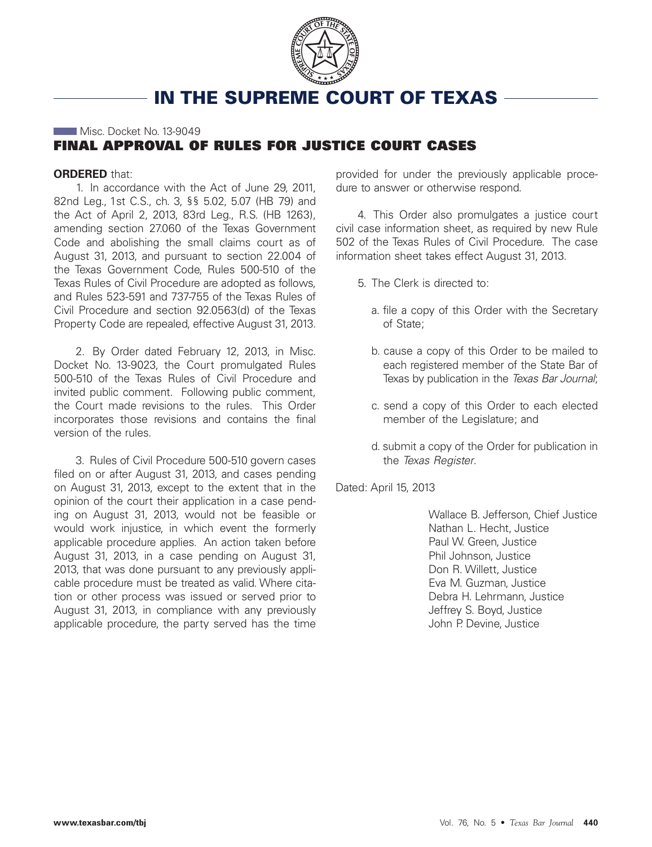

# **IN THE SUPREME COURT OF TEXAS**

# Misc. Docket No. 13-9049 **FINAL APPROVAL OF RULES FOR JUSTICE COURT CASES**

#### **ORDERED** that:

1. In accordance with the Act of June 29, 2011, 82nd Leg., 1st C.S., ch. 3, §§ 5.02, 5.07 (HB 79) and the Act of April 2, 2013, 83rd Leg., R.S. (HB 1263), amending section 27.060 of the Texas Government Code and abolishing the small claims court as of August 31, 2013, and pursuant to section 22.004 of the Texas Government Code, Rules 500-510 of the Texas Rules of Civil Procedure are adopted as follows, and Rules 523-591 and 737-755 of the Texas Rules of Civil Procedure and section 92.0563(d) of the Texas Property Code are repealed, effective August 31, 2013.

2. By Order dated February 12, 2013, in Misc. Docket No. 13-9023, the Court promulgated Rules 500-510 of the Texas Rules of Civil Procedure and invited public comment. Following public comment, the Court made revisions to the rules. This Order incorporates those revisions and contains the final version of the rules.

3. Rules of Civil Procedure 500-510 govern cases filed on or after August 31, 2013, and cases pending on August 31, 2013, except to the extent that in the opinion of the court their application in a case pending on August 31, 2013, would not be feasible or would work injustice, in which event the formerly applicable procedure applies. An action taken before August 31, 2013, in a case pending on August 31, 2013, that was done pursuant to any previously applicable procedure must be treated as valid. Where citation or other process was issued or served prior to August 31, 2013, in compliance with any previously applicable procedure, the party served has the time

provided for under the previously applicable procedure to answer or otherwise respond.

4. This Order also promulgates a justice court civil case information sheet, as required by new Rule 502 of the Texas Rules of Civil Procedure. The case information sheet takes effect August 31, 2013.

- 5. The Clerk is directed to:
	- a. file a copy of this Order with the Secretary of State;
	- b. cause a copy of this Order to be mailed to each registered member of the State Bar of Texas by publication in the Texas Bar Journal;
	- c. send a copy of this Order to each elected member of the Legislature; and
	- d. submit a copy of the Order for publication in the Texas Register.

Dated: April 15, 2013

Wallace B. Jefferson, Chief Justice Nathan L. Hecht, Justice Paul W. Green, Justice Phil Johnson, Justice Don R. Willett, Justice Eva M. Guzman, Justice Debra H. Lehrmann, Justice Jeffrey S. Boyd, Justice John P. Devine, Justice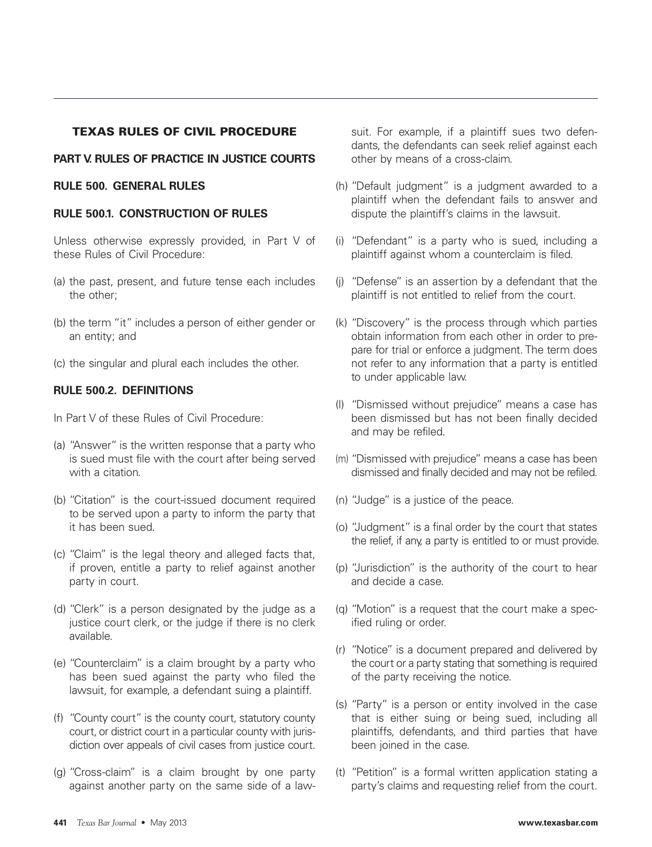# **TEXAS RULES OF CIVIL PROCEDURE**

# **PART V. RULES OF PRACTICE IN JUSTICE COURTS**

#### **RULE 500. GENERAL RULES**

#### **RULE 500.1. CONSTRUCTION OF RULES**

Unless otherwise expressly provided, in Part V of these Rules of Civil Procedure:

- (a) the past, present, and future tense each includes the other;
- (b) the term "it" includes a person of either gender or an entity; and
- (c) the singular and plural each includes the other.

#### **RULE 500.2. DEFINITIONS**

- In Part V of these Rules of Civil Procedure:
- (a) "Answer" is the written response that a party who is sued must file with the court after being served with a citation.
- (b) "Citation" is the court-issued document required to be served upon a party to inform the party that it has been sued.
- (c) "Claim" is the legal theory and alleged facts that, if proven, entitle a party to relief against another party in court.
- (d) "Clerk" is a person designated by the judge as a justice court clerk, or the judge if there is no clerk available.
- (e) "Counterclaim" is a claim brought by a party who has been sued against the party who filed the lawsuit, for example, a defendant suing a plaintiff.
- (f) "County court" is the county court, statutory county court, or district court in a particular county with jurisdiction over appeals of civil cases from justice court.
- (g) "Cross-claim" is a claim brought by one party against another party on the same side of a law-

suit. For example, if a plaintiff sues two defendants, the defendants can seek relief against each other by means of a cross-claim.

- (h) "Default judgment" is a judgment awarded to a plaintiff when the defendant fails to answer and dispute the plaintiff's claims in the lawsuit.
- (i) "Defendant" is a party who is sued, including a plaintiff against whom a counterclaim is filed.
- (j) "Defense" is an assertion by a defendant that the plaintiff is not entitled to relief from the court.
- (k) "Discovery" is the process through which parties obtain information from each other in order to prepare for trial or enforce a judgment. The term does not refer to any information that a party is entitled to under applicable law.
- (l) "Dismissed without prejudice" means a case has been dismissed but has not been finally decided and may be refiled.
- (m) "Dismissed with prejudice" means a case has been dismissed and finally decided and may not be refiled.
- (n) "Judge" is a justice of the peace.
- (o) "Judgment" is a final order by the court that states the relief, if any, a party is entitled to or must provide.
- (p) "Jurisdiction" is the authority of the court to hear and decide a case.
- (q) "Motion" is a request that the court make a specified ruling or order.
- (r) "Notice" is a document prepared and delivered by the court or a party stating that something is required of the party receiving the notice.
- (s) "Party" is a person or entity involved in the case that is either suing or being sued, including all plaintiffs, defendants, and third parties that have been joined in the case.
- (t) "Petition" is a formal written application stating a party's claims and requesting relief from the court.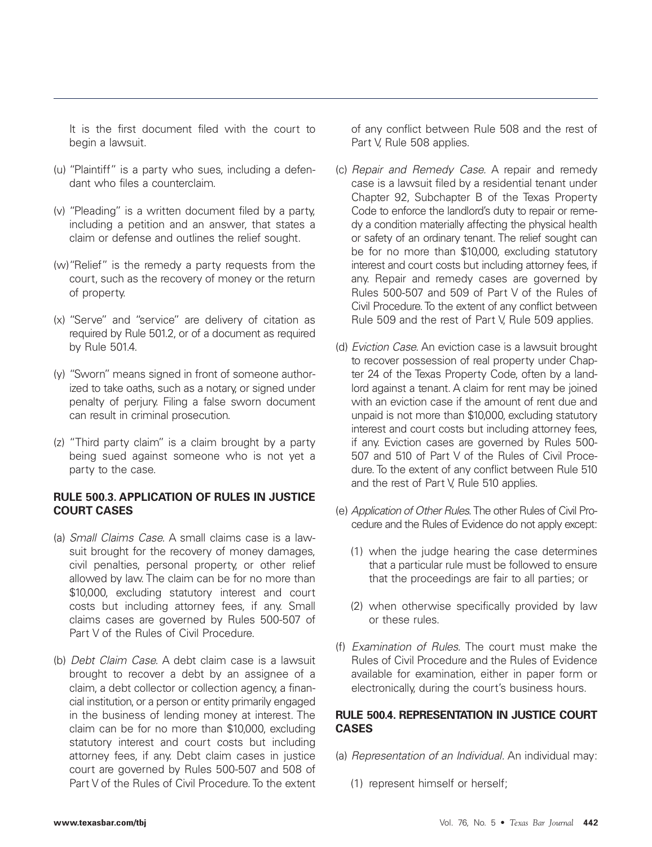It is the first document filed with the court to begin a lawsuit.

- (u) "Plaintiff" is a party who sues, including a defendant who files a counterclaim.
- (v) "Pleading" is a written document filed by a party, including a petition and an answer, that states a claim or defense and outlines the relief sought.
- (w)"Relief" is the remedy a party requests from the court, such as the recovery of money or the return of property.
- (x) "Serve" and "service" are delivery of citation as required by Rule 501.2, or of a document as required by Rule 501.4.
- (y) "Sworn" means signed in front of someone authorized to take oaths, such as a notary, or signed under penalty of perjury. Filing a false sworn document can result in criminal prosecution.
- (z) "Third party claim" is a claim brought by a party being sued against someone who is not yet a party to the case.

# **RULE 500.3. APPLICATION OF RULES IN JUSTICE COURT CASES**

- (a) Small Claims Case. A small claims case is a lawsuit brought for the recovery of money damages, civil penalties, personal property, or other relief allowed by law. The claim can be for no more than \$10,000, excluding statutory interest and court costs but including attorney fees, if any. Small claims cases are governed by Rules 500-507 of Part V of the Rules of Civil Procedure.
- (b) Debt Claim Case. A debt claim case is a lawsuit brought to recover a debt by an assignee of a claim, a debt collector or collection agency, a financial institution, or a person or entity primarily engaged in the business of lending money at interest. The claim can be for no more than \$10,000, excluding statutory interest and court costs but including attorney fees, if any. Debt claim cases in justice court are governed by Rules 500-507 and 508 of Part V of the Rules of Civil Procedure. To the extent

of any conflict between Rule 508 and the rest of Part V, Rule 508 applies.

- (c) Repair and Remedy Case. A repair and remedy case is a lawsuit filed by a residential tenant under Chapter 92, Subchapter B of the Texas Property Code to enforce the landlord's duty to repair or remedy a condition materially affecting the physical health or safety of an ordinary tenant. The relief sought can be for no more than \$10,000, excluding statutory interest and court costs but including attorney fees, if any. Repair and remedy cases are governed by Rules 500-507 and 509 of Part V of the Rules of Civil Procedure. To the extent of any conflict between Rule 509 and the rest of Part V, Rule 509 applies.
- (d) Eviction Case. An eviction case is a lawsuit brought to recover possession of real property under Chapter 24 of the Texas Property Code, often by a landlord against a tenant. A claim for rent may be joined with an eviction case if the amount of rent due and unpaid is not more than \$10,000, excluding statutory interest and court costs but including attorney fees, if any. Eviction cases are governed by Rules 500- 507 and 510 of Part V of the Rules of Civil Procedure. To the extent of any conflict between Rule 510 and the rest of Part V, Rule 510 applies.
- (e) Application of Other Rules.The other Rules of Civil Procedure and the Rules of Evidence do not apply except:
	- (1) when the judge hearing the case determines that a particular rule must be followed to ensure that the proceedings are fair to all parties; or
	- (2) when otherwise specifically provided by law or these rules.
- (f) Examination of Rules. The court must make the Rules of Civil Procedure and the Rules of Evidence available for examination, either in paper form or electronically, during the court's business hours.

# **RULE 500.4. REPRESENTATION IN JUSTICE COURT CASES**

- (a) Representation of an Individual. An individual may:
	- (1) represent himself or herself;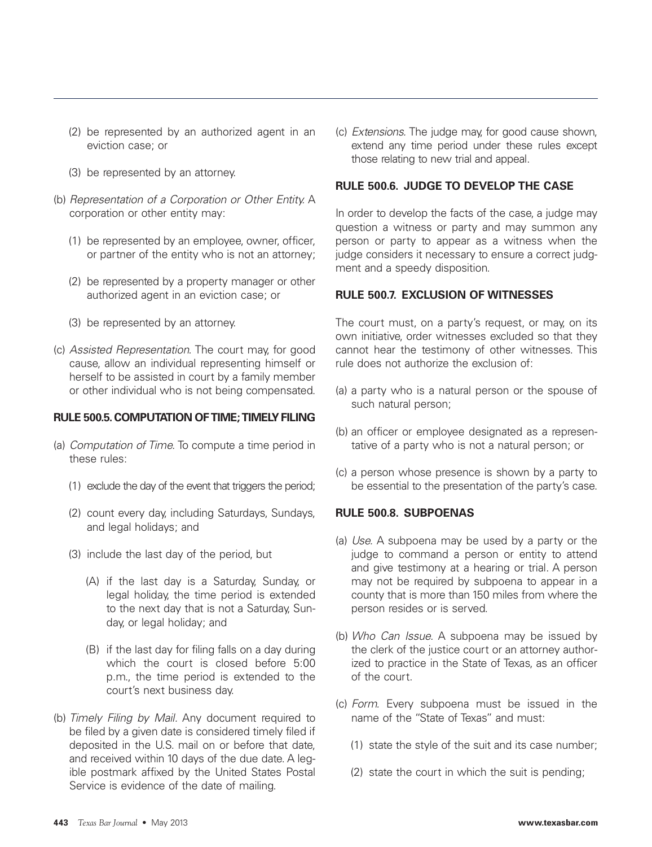- (2) be represented by an authorized agent in an eviction case; or
- (3) be represented by an attorney.
- (b) Representation of a Corporation or Other Entity. A corporation or other entity may:
	- (1) be represented by an employee, owner, officer, or partner of the entity who is not an attorney;
	- (2) be represented by a property manager or other authorized agent in an eviction case; or
	- (3) be represented by an attorney.
- (c) Assisted Representation. The court may, for good cause, allow an individual representing himself or herself to be assisted in court by a family member or other individual who is not being compensated.

#### **RULE 500.5. COMPUTATION OF TIME; TIMELY FILING**

- (a) Computation of Time. To compute a time period in these rules:
	- (1) exclude the day of the event that triggers the period;
	- (2) count every day, including Saturdays, Sundays, and legal holidays; and
	- (3) include the last day of the period, but
		- (A) if the last day is a Saturday, Sunday, or legal holiday, the time period is extended to the next day that is not a Saturday, Sunday, or legal holiday; and
		- (B) if the last day for filing falls on a day during which the court is closed before 5:00 p.m., the time period is extended to the court's next business day.
- (b) Timely Filing by Mail. Any document required to be filed by a given date is considered timely filed if deposited in the U.S. mail on or before that date, and received within 10 days of the due date. A legible postmark affixed by the United States Postal Service is evidence of the date of mailing.

(c) Extensions. The judge may, for good cause shown, extend any time period under these rules except those relating to new trial and appeal.

#### **RULE 500.6. JUDGE TO DEVELOP THE CASE**

In order to develop the facts of the case, a judge may question a witness or party and may summon any person or party to appear as a witness when the judge considers it necessary to ensure a correct judgment and a speedy disposition.

#### **RULE 500.7. EXCLUSION OF WITNESSES**

The court must, on a party's request, or may, on its own initiative, order witnesses excluded so that they cannot hear the testimony of other witnesses. This rule does not authorize the exclusion of:

- (a) a party who is a natural person or the spouse of such natural person;
- (b) an officer or employee designated as a representative of a party who is not a natural person; or
- (c) a person whose presence is shown by a party to be essential to the presentation of the party's case.

#### **RULE 500.8. SUBPOENAS**

- (a) Use. A subpoena may be used by a party or the judge to command a person or entity to attend and give testimony at a hearing or trial. A person may not be required by subpoena to appear in a county that is more than 150 miles from where the person resides or is served.
- (b) Who Can Issue. A subpoena may be issued by the clerk of the justice court or an attorney authorized to practice in the State of Texas, as an officer of the court.
- (c) Form. Every subpoena must be issued in the name of the "State of Texas" and must:
	- (1) state the style of the suit and its case number;
	- (2) state the court in which the suit is pending;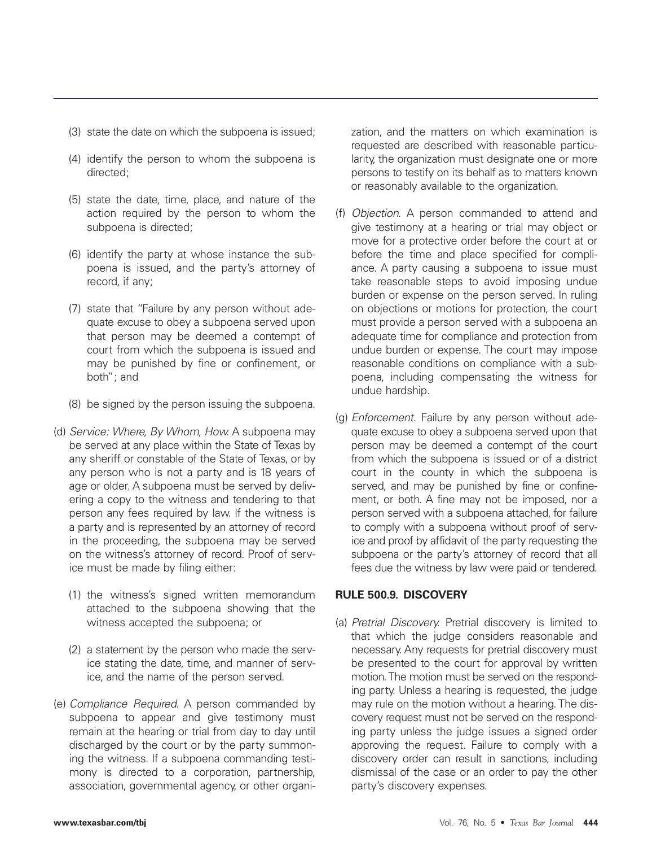- (3) state the date on which the subpoena is issued;
- (4) identify the person to whom the subpoena is directed;
- (5) state the date, time, place, and nature of the action required by the person to whom the subpoena is directed;
- (6) identify the party at whose instance the subpoena is issued, and the party's attorney of record, if any;
- (7) state that "Failure by any person without adequate excuse to obey a subpoena served upon that person may be deemed a contempt of court from which the subpoena is issued and may be punished by fine or confinement, or both"; and
- (8) be signed by the person issuing the subpoena.
- (d) Service: Where, By Whom, How. A subpoena may be served at any place within the State of Texas by any sheriff or constable of the State of Texas, or by any person who is not a party and is 18 years of age or older. A subpoena must be served by delivering a copy to the witness and tendering to that person any fees required by law. If the witness is a party and is represented by an attorney of record in the proceeding, the subpoena may be served on the witness's attorney of record. Proof of service must be made by filing either:
	- (1) the witness's signed written memorandum attached to the subpoena showing that the witness accepted the subpoena; or
	- (2) a statement by the person who made the service stating the date, time, and manner of service, and the name of the person served.
- (e) Compliance Required. A person commanded by subpoena to appear and give testimony must remain at the hearing or trial from day to day until discharged by the court or by the party summoning the witness. If a subpoena commanding testimony is directed to a corporation, partnership, association, governmental agency, or other organi-

zation, and the matters on which examination is requested are described with reasonable particularity, the organization must designate one or more persons to testify on its behalf as to matters known or reasonably available to the organization.

- (f) Objection. A person commanded to attend and give testimony at a hearing or trial may object or move for a protective order before the court at or before the time and place specified for compliance. A party causing a subpoena to issue must take reasonable steps to avoid imposing undue burden or expense on the person served. In ruling on objections or motions for protection, the court must provide a person served with a subpoena an adequate time for compliance and protection from undue burden or expense. The court may impose reasonable conditions on compliance with a subpoena, including compensating the witness for undue hardship.
- (g) Enforcement. Failure by any person without adequate excuse to obey a subpoena served upon that person may be deemed a contempt of the court from which the subpoena is issued or of a district court in the county in which the subpoena is served, and may be punished by fine or confinement, or both. A fine may not be imposed, nor a person served with a subpoena attached, for failure to comply with a subpoena without proof of service and proof by affidavit of the party requesting the subpoena or the party's attorney of record that all fees due the witness by law were paid or tendered.

#### **RULE 500.9. DISCOVERY**

(a) Pretrial Discovery. Pretrial discovery is limited to that which the judge considers reasonable and necessary. Any requests for pretrial discovery must be presented to the court for approval by written motion. The motion must be served on the responding party. Unless a hearing is requested, the judge may rule on the motion without a hearing. The discovery request must not be served on the responding party unless the judge issues a signed order approving the request. Failure to comply with a discovery order can result in sanctions, including dismissal of the case or an order to pay the other party's discovery expenses.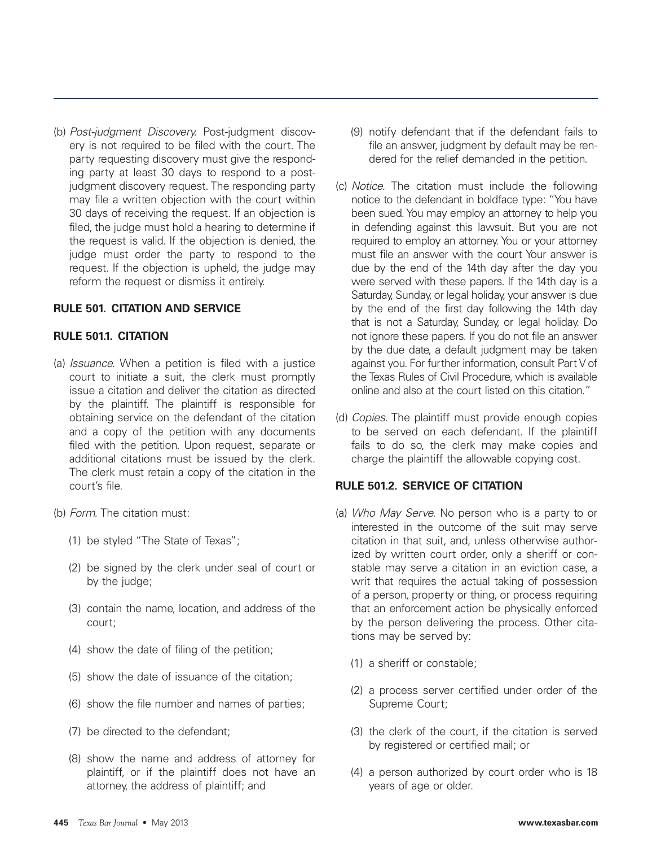(b) Post-judgment Discovery. Post-judgment discovery is not required to be filed with the court. The party requesting discovery must give the responding party at least 30 days to respond to a postjudgment discovery request. The responding party may file a written objection with the court within 30 days of receiving the request. If an objection is filed, the judge must hold a hearing to determine if the request is valid. If the objection is denied, the judge must order the party to respond to the request. If the objection is upheld, the judge may reform the request or dismiss it entirely.

#### **RULE 501. CITATION AND SERVICE**

#### **RULE 501.1. CITATION**

- (a) Issuance. When a petition is filed with a justice court to initiate a suit, the clerk must promptly issue a citation and deliver the citation as directed by the plaintiff. The plaintiff is responsible for obtaining service on the defendant of the citation and a copy of the petition with any documents filed with the petition. Upon request, separate or additional citations must be issued by the clerk. The clerk must retain a copy of the citation in the court's file.
- (b) Form. The citation must:
	- (1) be styled "The State of Texas";
	- (2) be signed by the clerk under seal of court or by the judge;
	- (3) contain the name, location, and address of the court;
	- (4) show the date of filing of the petition;
	- (5) show the date of issuance of the citation;
	- (6) show the file number and names of parties;
	- (7) be directed to the defendant;
	- (8) show the name and address of attorney for plaintiff, or if the plaintiff does not have an attorney, the address of plaintiff; and
- (9) notify defendant that if the defendant fails to file an answer, judgment by default may be rendered for the relief demanded in the petition.
- (c) Notice. The citation must include the following notice to the defendant in boldface type: "You have been sued. You may employ an attorney to help you in defending against this lawsuit. But you are not required to employ an attorney. You or your attorney must file an answer with the court Your answer is due by the end of the 14th day after the day you were served with these papers. If the 14th day is a Saturday, Sunday, or legal holiday, your answer is due by the end of the first day following the 14th day that is not a Saturday, Sunday, or legal holiday. Do not ignore these papers. If you do not file an answer by the due date, a default judgment may be taken against you. For further information, consult Part V of the Texas Rules of Civil Procedure, which is available online and also at the court listed on this citation."
- (d) Copies. The plaintiff must provide enough copies to be served on each defendant. If the plaintiff fails to do so, the clerk may make copies and charge the plaintiff the allowable copying cost.

#### **RULE 501.2. SERVICE OF CITATION**

- (a) Who May Serve. No person who is a party to or interested in the outcome of the suit may serve citation in that suit, and, unless otherwise authorized by written court order, only a sheriff or constable may serve a citation in an eviction case, a writ that requires the actual taking of possession of a person, property or thing, or process requiring that an enforcement action be physically enforced by the person delivering the process. Other citations may be served by:
	- (1) a sheriff or constable;
	- (2) a process server certified under order of the Supreme Court;
	- (3) the clerk of the court, if the citation is served by registered or certified mail; or
	- (4) a person authorized by court order who is 18 years of age or older.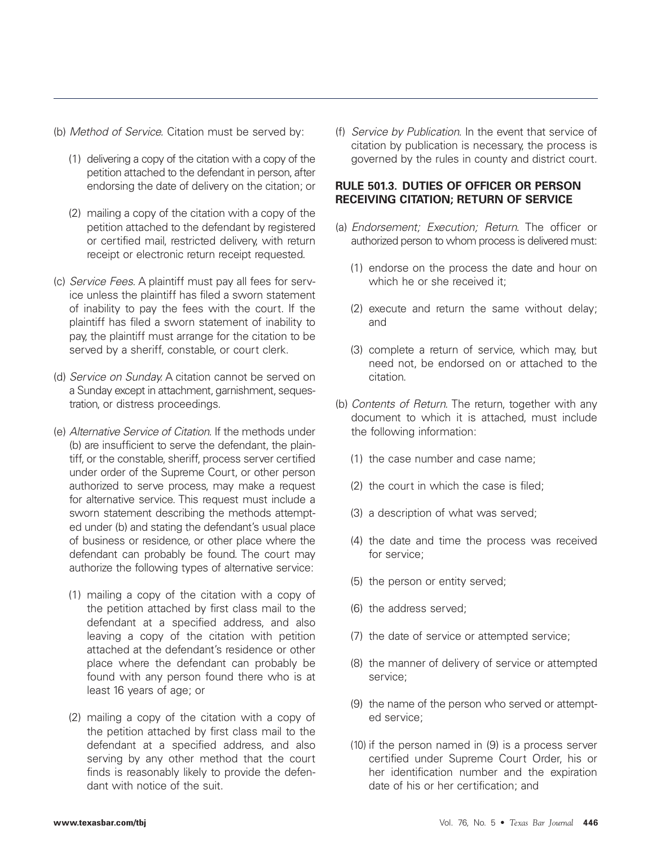- (b) Method of Service. Citation must be served by:
	- (1) delivering a copy of the citation with a copy of the petition attached to the defendant in person, after endorsing the date of delivery on the citation; or
	- (2) mailing a copy of the citation with a copy of the petition attached to the defendant by registered or certified mail, restricted delivery, with return receipt or electronic return receipt requested.
- (c) Service Fees. A plaintiff must pay all fees for service unless the plaintiff has filed a sworn statement of inability to pay the fees with the court. If the plaintiff has filed a sworn statement of inability to pay, the plaintiff must arrange for the citation to be served by a sheriff, constable, or court clerk.
- (d) Service on Sunday. A citation cannot be served on a Sunday except in attachment, garnishment, sequestration, or distress proceedings.
- (e) Alternative Service of Citation. If the methods under (b) are insufficient to serve the defendant, the plaintiff, or the constable, sheriff, process server certified under order of the Supreme Court, or other person authorized to serve process, may make a request for alternative service. This request must include a sworn statement describing the methods attempted under (b) and stating the defendant's usual place of business or residence, or other place where the defendant can probably be found. The court may authorize the following types of alternative service:
	- (1) mailing a copy of the citation with a copy of the petition attached by first class mail to the defendant at a specified address, and also leaving a copy of the citation with petition attached at the defendant's residence or other place where the defendant can probably be found with any person found there who is at least 16 years of age; or
	- (2) mailing a copy of the citation with a copy of the petition attached by first class mail to the defendant at a specified address, and also serving by any other method that the court finds is reasonably likely to provide the defendant with notice of the suit.

(f) Service by Publication. In the event that service of citation by publication is necessary, the process is governed by the rules in county and district court.

# **RULE 501.3. DUTIES OF OFFICER OR PERSON RECEIVING CITATION; RETURN OF SERVICE**

- (a) Endorsement; Execution; Return. The officer or authorized person to whom process is delivered must:
	- (1) endorse on the process the date and hour on which he or she received it;
	- (2) execute and return the same without delay; and
	- (3) complete a return of service, which may, but need not, be endorsed on or attached to the citation.
- (b) Contents of Return. The return, together with any document to which it is attached, must include the following information:
	- (1) the case number and case name;
	- (2) the court in which the case is filed;
	- (3) a description of what was served;
	- (4) the date and time the process was received for service;
	- (5) the person or entity served;
	- (6) the address served;
	- (7) the date of service or attempted service;
	- (8) the manner of delivery of service or attempted service;
	- (9) the name of the person who served or attempted service;
	- (10) if the person named in (9) is a process server certified under Supreme Court Order, his or her identification number and the expiration date of his or her certification; and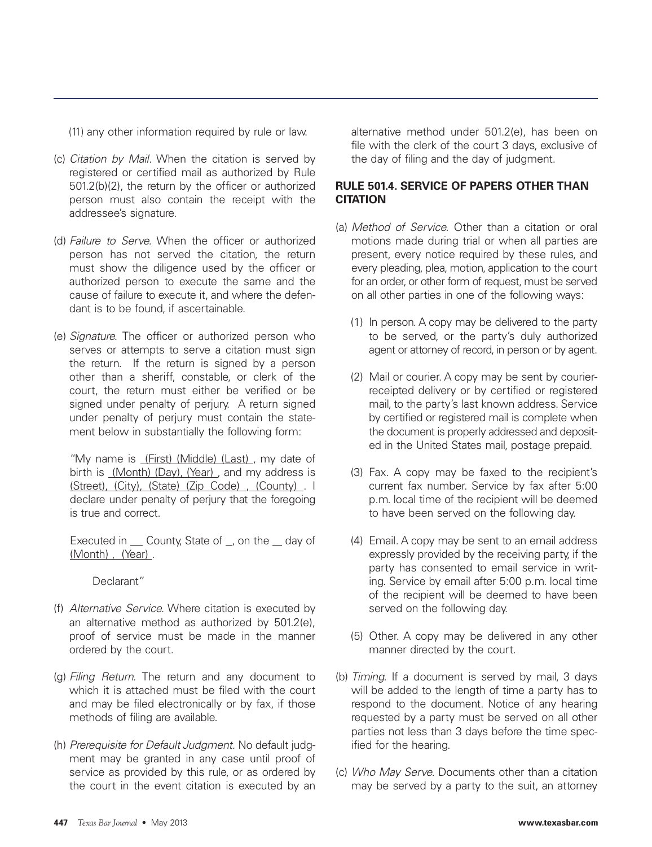(11) any other information required by rule or law.

- (c) Citation by Mail. When the citation is served by registered or certified mail as authorized by Rule 501.2(b)(2), the return by the officer or authorized person must also contain the receipt with the addressee's signature.
- (d) Failure to Serve. When the officer or authorized person has not served the citation, the return must show the diligence used by the officer or authorized person to execute the same and the cause of failure to execute it, and where the defendant is to be found, if ascertainable.
- (e) Signature. The officer or authorized person who serves or attempts to serve a citation must sign the return. If the return is signed by a person other than a sheriff, constable, or clerk of the court, the return must either be verified or be signed under penalty of perjury. A return signed under penalty of perjury must contain the statement below in substantially the following form:

"My name is (First) (Middle) (Last), my date of birth is (Month) (Day), (Year) , and my address is (Street), (City), (State) (Zip Code) , (County) . I declare under penalty of perjury that the foregoing is true and correct.

Executed in  $\_\_$  County, State of  $\_$ , on the  $\_\_$  day of (Month) , (Year) .

Declarant"

- (f) Alternative Service. Where citation is executed by an alternative method as authorized by 501.2(e), proof of service must be made in the manner ordered by the court.
- (g) Filing Return. The return and any document to which it is attached must be filed with the court and may be filed electronically or by fax, if those methods of filing are available.
- (h) Prerequisite for Default Judgment. No default judgment may be granted in any case until proof of service as provided by this rule, or as ordered by the court in the event citation is executed by an

alternative method under 501.2(e), has been on file with the clerk of the court 3 days, exclusive of the day of filing and the day of judgment.

# **RULE 501.4. SERVICE OF PAPERS OTHER THAN CITATION**

- (a) Method of Service. Other than a citation or oral motions made during trial or when all parties are present, every notice required by these rules, and every pleading, plea, motion, application to the court for an order, or other form of request, must be served on all other parties in one of the following ways:
	- (1) In person. A copy may be delivered to the party to be served, or the party's duly authorized agent or attorney of record, in person or by agent.
	- (2) Mail or courier. A copy may be sent by courierreceipted delivery or by certified or registered mail, to the party's last known address. Service by certified or registered mail is complete when the document is properly addressed and deposited in the United States mail, postage prepaid.
	- (3) Fax. A copy may be faxed to the recipient's current fax number. Service by fax after 5:00 p.m. local time of the recipient will be deemed to have been served on the following day.
	- (4) Email. A copy may be sent to an email address expressly provided by the receiving party, if the party has consented to email service in writing. Service by email after 5:00 p.m. local time of the recipient will be deemed to have been served on the following day.
	- (5) Other. A copy may be delivered in any other manner directed by the court.
- (b) Timing. If a document is served by mail, 3 days will be added to the length of time a party has to respond to the document. Notice of any hearing requested by a party must be served on all other parties not less than 3 days before the time specified for the hearing.
- (c) Who May Serve. Documents other than a citation may be served by a party to the suit, an attorney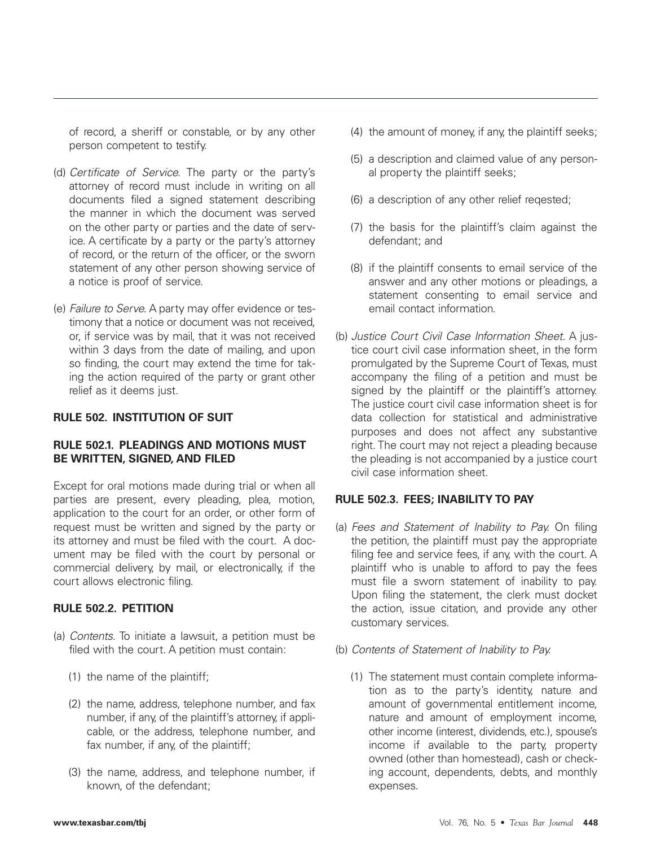of record, a sheriff or constable, or by any other person competent to testify.

- (d) Certificate of Service. The party or the party's attorney of record must include in writing on all documents filed a signed statement describing the manner in which the document was served on the other party or parties and the date of service. A certificate by a party or the party's attorney of record, or the return of the officer, or the sworn statement of any other person showing service of a notice is proof of service.
- (e) Failure to Serve. A party may offer evidence or testimony that a notice or document was not received, or, if service was by mail, that it was not received within 3 days from the date of mailing, and upon so finding, the court may extend the time for taking the action required of the party or grant other relief as it deems just.

#### **RULE 502. INSTITUTION OF SUIT**

#### **RULE 502.1. PLEADINGS AND MOTIONS MUST BE WRITTEN, SIGNED, AND FILED**

Except for oral motions made during trial or when all parties are present, every pleading, plea, motion, application to the court for an order, or other form of request must be written and signed by the party or its attorney and must be filed with the court. A document may be filed with the court by personal or commercial delivery, by mail, or electronically, if the court allows electronic filing.

#### **RULE 502.2. PETITION**

- (a) Contents. To initiate a lawsuit, a petition must be filed with the court. A petition must contain:
	- (1) the name of the plaintiff;
	- (2) the name, address, telephone number, and fax number, if any, of the plaintiff's attorney, if applicable, or the address, telephone number, and fax number, if any, of the plaintiff;
	- (3) the name, address, and telephone number, if known, of the defendant;
- (4) the amount of money, if any, the plaintiff seeks;
- (5) a description and claimed value of any personal property the plaintiff seeks;
- (6) a description of any other relief reqested;
- (7) the basis for the plaintiff's claim against the defendant; and
- (8) if the plaintiff consents to email service of the answer and any other motions or pleadings, a statement consenting to email service and email contact information.
- (b) Justice Court Civil Case Information Sheet. A justice court civil case information sheet, in the form promulgated by the Supreme Court of Texas, must accompany the filing of a petition and must be signed by the plaintiff or the plaintiff's attorney. The justice court civil case information sheet is for data collection for statistical and administrative purposes and does not affect any substantive right. The court may not reject a pleading because the pleading is not accompanied by a justice court civil case information sheet.

# **RULE 502.3. FEES; INABILITY TO PAY**

- (a) Fees and Statement of Inability to Pay. On filing the petition, the plaintiff must pay the appropriate filing fee and service fees, if any, with the court. A plaintiff who is unable to afford to pay the fees must file a sworn statement of inability to pay. Upon filing the statement, the clerk must docket the action, issue citation, and provide any other customary services.
- (b) Contents of Statement of Inability to Pay.
	- (1) The statement must contain complete information as to the party's identity, nature and amount of governmental entitlement income, nature and amount of employment income, other income (interest, dividends, etc.), spouse's income if available to the party, property owned (other than homestead), cash or checking account, dependents, debts, and monthly expenses.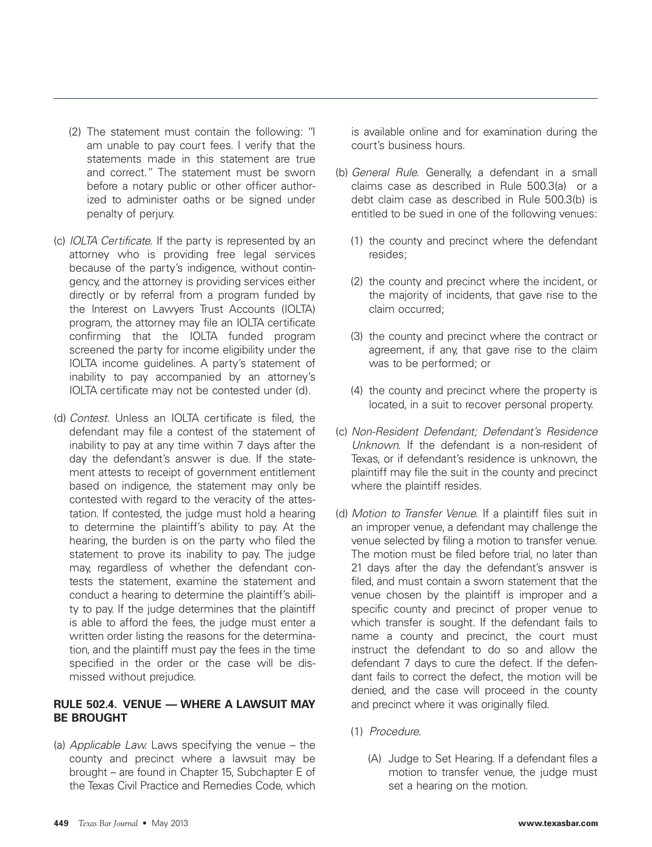- (2) The statement must contain the following: "I am unable to pay court fees. I verify that the statements made in this statement are true and correct." The statement must be sworn before a notary public or other officer authorized to administer oaths or be signed under penalty of perjury.
- (c) IOLTA Certificate. If the party is represented by an attorney who is providing free legal services because of the party's indigence, without contingency, and the attorney is providing services either directly or by referral from a program funded by the Interest on Lawyers Trust Accounts (IOLTA) program, the attorney may file an IOLTA certificate confirming that the IOLTA funded program screened the party for income eligibility under the IOLTA income guidelines. A party's statement of inability to pay accompanied by an attorney's IOLTA certificate may not be contested under (d).
- (d) Contest. Unless an IOLTA certificate is filed, the defendant may file a contest of the statement of inability to pay at any time within 7 days after the day the defendant's answer is due. If the statement attests to receipt of government entitlement based on indigence, the statement may only be contested with regard to the veracity of the attestation. If contested, the judge must hold a hearing to determine the plaintiff's ability to pay. At the hearing, the burden is on the party who filed the statement to prove its inability to pay. The judge may, regardless of whether the defendant contests the statement, examine the statement and conduct a hearing to determine the plaintiff's ability to pay. If the judge determines that the plaintiff is able to afford the fees, the judge must enter a written order listing the reasons for the determination, and the plaintiff must pay the fees in the time specified in the order or the case will be dismissed without prejudice.

# **RULE 502.4. VENUE — WHERE A LAWSUIT MAY BE BROUGHT**

(a) Applicable Law. Laws specifying the venue – the county and precinct where a lawsuit may be brought – are found in Chapter 15, Subchapter E of the Texas Civil Practice and Remedies Code, which is available online and for examination during the court's business hours.

- (b) General Rule. Generally, a defendant in a small claims case as described in Rule 500.3(a) or a debt claim case as described in Rule 500.3(b) is entitled to be sued in one of the following venues:
	- (1) the county and precinct where the defendant resides;
	- (2) the county and precinct where the incident, or the majority of incidents, that gave rise to the claim occurred;
	- (3) the county and precinct where the contract or agreement, if any, that gave rise to the claim was to be performed; or
	- (4) the county and precinct where the property is located, in a suit to recover personal property.
- (c) Non-Resident Defendant; Defendant's Residence Unknown. If the defendant is a non-resident of Texas, or if defendant's residence is unknown, the plaintiff may file the suit in the county and precinct where the plaintiff resides.
- (d) Motion to Transfer Venue. If a plaintiff files suit in an improper venue, a defendant may challenge the venue selected by filing a motion to transfer venue. The motion must be filed before trial, no later than 21 days after the day the defendant's answer is filed, and must contain a sworn statement that the venue chosen by the plaintiff is improper and a specific county and precinct of proper venue to which transfer is sought. If the defendant fails to name a county and precinct, the court must instruct the defendant to do so and allow the defendant 7 days to cure the defect. If the defendant fails to correct the defect, the motion will be denied, and the case will proceed in the county and precinct where it was originally filed.
	- (1) Procedure.
		- (A) Judge to Set Hearing. If a defendant files a motion to transfer venue, the judge must set a hearing on the motion.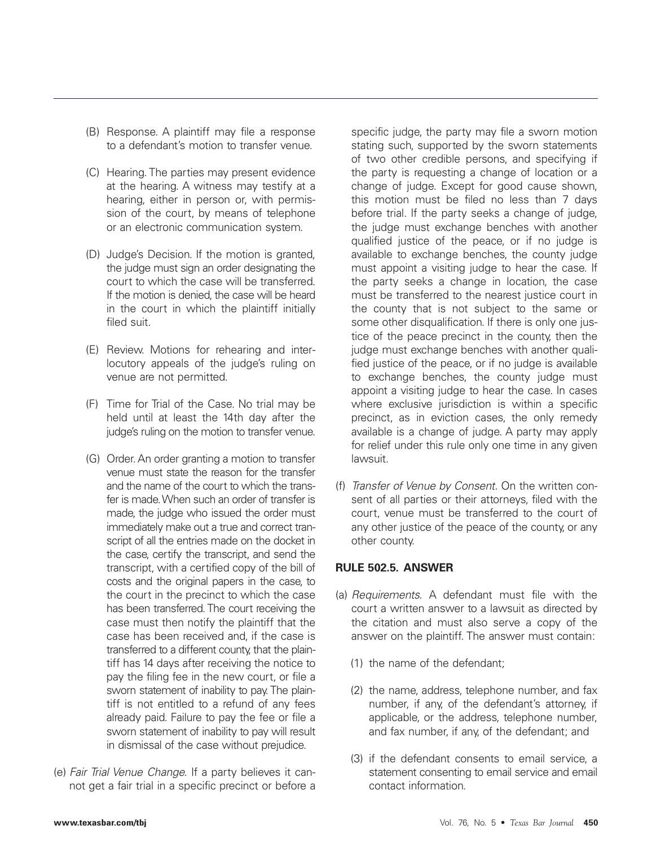- (B) Response. A plaintiff may file a response to a defendant's motion to transfer venue.
- (C) Hearing. The parties may present evidence at the hearing. A witness may testify at a hearing, either in person or, with permission of the court, by means of telephone or an electronic communication system.
- (D) Judge's Decision. If the motion is granted, the judge must sign an order designating the court to which the case will be transferred. If the motion is denied, the case will be heard in the court in which the plaintiff initially filed suit.
- (E) Review. Motions for rehearing and interlocutory appeals of the judge's ruling on venue are not permitted.
- (F) Time for Trial of the Case. No trial may be held until at least the 14th day after the judge's ruling on the motion to transfer venue.
- (G) Order. An order granting a motion to transfer venue must state the reason for the transfer and the name of the court to which the transfer is made. When such an order of transfer is made, the judge who issued the order must immediately make out a true and correct transcript of all the entries made on the docket in the case, certify the transcript, and send the transcript, with a certified copy of the bill of costs and the original papers in the case, to the court in the precinct to which the case has been transferred. The court receiving the case must then notify the plaintiff that the case has been received and, if the case is transferred to a different county, that the plaintiff has 14 days after receiving the notice to pay the filing fee in the new court, or file a sworn statement of inability to pay. The plaintiff is not entitled to a refund of any fees already paid. Failure to pay the fee or file a sworn statement of inability to pay will result in dismissal of the case without prejudice.
- (e) Fair Trial Venue Change. If a party believes it cannot get a fair trial in a specific precinct or before a

specific judge, the party may file a sworn motion stating such, supported by the sworn statements of two other credible persons, and specifying if the party is requesting a change of location or a change of judge. Except for good cause shown, this motion must be filed no less than 7 days before trial. If the party seeks a change of judge, the judge must exchange benches with another qualified justice of the peace, or if no judge is available to exchange benches, the county judge must appoint a visiting judge to hear the case. If the party seeks a change in location, the case must be transferred to the nearest justice court in the county that is not subject to the same or some other disqualification. If there is only one justice of the peace precinct in the county, then the judge must exchange benches with another qualified justice of the peace, or if no judge is available to exchange benches, the county judge must appoint a visiting judge to hear the case. In cases where exclusive jurisdiction is within a specific precinct, as in eviction cases, the only remedy available is a change of judge. A party may apply for relief under this rule only one time in any given lawsuit.

(f) Transfer of Venue by Consent. On the written consent of all parties or their attorneys, filed with the court, venue must be transferred to the court of any other justice of the peace of the county, or any other county.

## **RULE 502.5. ANSWER**

- (a) Requirements. A defendant must file with the court a written answer to a lawsuit as directed by the citation and must also serve a copy of the answer on the plaintiff. The answer must contain:
	- (1) the name of the defendant;
	- (2) the name, address, telephone number, and fax number, if any, of the defendant's attorney, if applicable, or the address, telephone number, and fax number, if any, of the defendant; and
	- (3) if the defendant consents to email service, a statement consenting to email service and email contact information.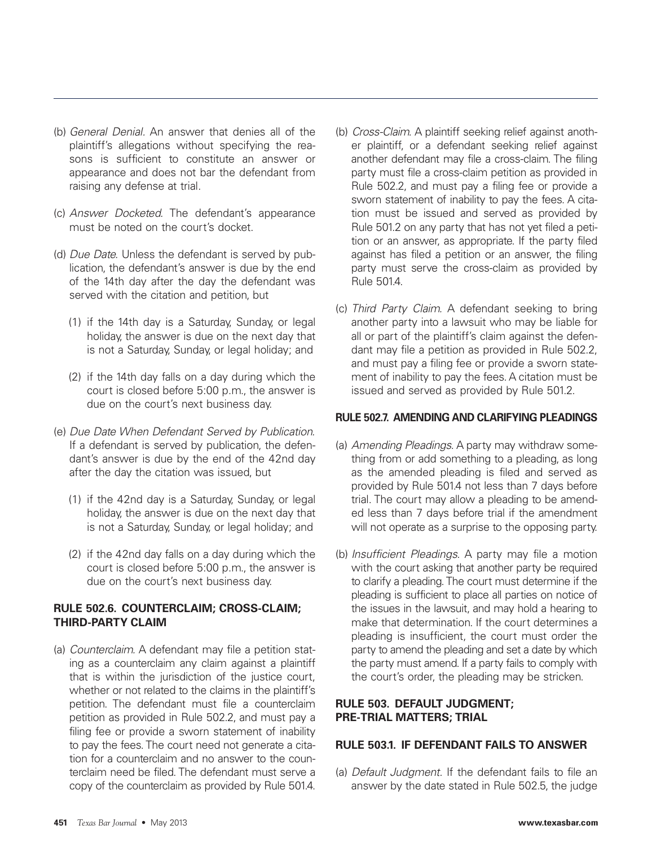- (b) General Denial. An answer that denies all of the plaintiff's allegations without specifying the reasons is sufficient to constitute an answer or appearance and does not bar the defendant from raising any defense at trial.
- (c) Answer Docketed. The defendant's appearance must be noted on the court's docket.
- (d) Due Date. Unless the defendant is served by publication, the defendant's answer is due by the end of the 14th day after the day the defendant was served with the citation and petition, but
	- (1) if the 14th day is a Saturday, Sunday, or legal holiday, the answer is due on the next day that is not a Saturday, Sunday, or legal holiday; and
	- (2) if the 14th day falls on a day during which the court is closed before 5:00 p.m., the answer is due on the court's next business day.
- (e) Due Date When Defendant Served by Publication. If a defendant is served by publication, the defendant's answer is due by the end of the 42nd day after the day the citation was issued, but
	- (1) if the 42nd day is a Saturday, Sunday, or legal holiday, the answer is due on the next day that is not a Saturday, Sunday, or legal holiday; and
	- (2) if the 42nd day falls on a day during which the court is closed before 5:00 p.m., the answer is due on the court's next business day.

# **RULE 502.6. COUNTERCLAIM; CROSS-CLAIM; THIRD-PARTY CLAIM**

(a) Counterclaim. A defendant may file a petition stating as a counterclaim any claim against a plaintiff that is within the jurisdiction of the justice court, whether or not related to the claims in the plaintiff's petition. The defendant must file a counterclaim petition as provided in Rule 502.2, and must pay a filing fee or provide a sworn statement of inability to pay the fees. The court need not generate a citation for a counterclaim and no answer to the counterclaim need be filed. The defendant must serve a copy of the counterclaim as provided by Rule 501.4.

- (b) Cross-Claim. A plaintiff seeking relief against another plaintiff, or a defendant seeking relief against another defendant may file a cross-claim. The filing party must file a cross-claim petition as provided in Rule 502.2, and must pay a filing fee or provide a sworn statement of inability to pay the fees. A citation must be issued and served as provided by Rule 501.2 on any party that has not yet filed a petition or an answer, as appropriate. If the party filed against has filed a petition or an answer, the filing party must serve the cross-claim as provided by Rule 501.4.
- (c) Third Party Claim. A defendant seeking to bring another party into a lawsuit who may be liable for all or part of the plaintiff's claim against the defendant may file a petition as provided in Rule 502.2, and must pay a filing fee or provide a sworn statement of inability to pay the fees. A citation must be issued and served as provided by Rule 501.2.

#### **RULE 502.7. AMENDING AND CLARIFYING PLEADINGS**

- (a) Amending Pleadings. A party may withdraw something from or add something to a pleading, as long as the amended pleading is filed and served as provided by Rule 501.4 not less than 7 days before trial. The court may allow a pleading to be amended less than 7 days before trial if the amendment will not operate as a surprise to the opposing party.
- (b) Insufficient Pleadings. A party may file a motion with the court asking that another party be required to clarify a pleading. The court must determine if the pleading is sufficient to place all parties on notice of the issues in the lawsuit, and may hold a hearing to make that determination. If the court determines a pleading is insufficient, the court must order the party to amend the pleading and set a date by which the party must amend. If a party fails to comply with the court's order, the pleading may be stricken.

#### **RULE 503. DEFAULT JUDGMENT; PRE-TRIAL MATTERS; TRIAL**

## **RULE 503.1. IF DEFENDANT FAILS TO ANSWER**

(a) Default Judgment. If the defendant fails to file an answer by the date stated in Rule 502.5, the judge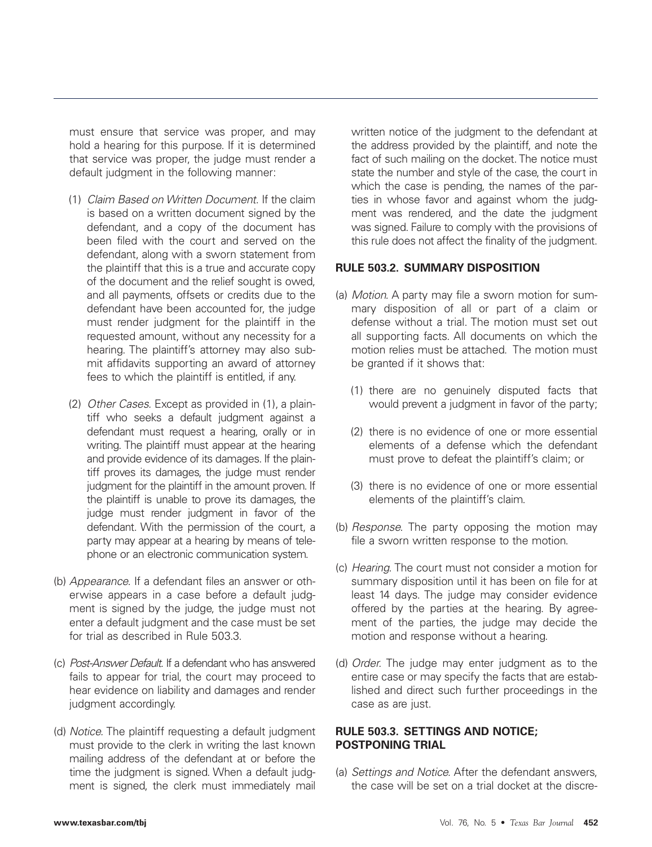must ensure that service was proper, and may hold a hearing for this purpose. If it is determined that service was proper, the judge must render a default judgment in the following manner:

- (1) Claim Based on Written Document. If the claim is based on a written document signed by the defendant, and a copy of the document has been filed with the court and served on the defendant, along with a sworn statement from the plaintiff that this is a true and accurate copy of the document and the relief sought is owed, and all payments, offsets or credits due to the defendant have been accounted for, the judge must render judgment for the plaintiff in the requested amount, without any necessity for a hearing. The plaintiff's attorney may also submit affidavits supporting an award of attorney fees to which the plaintiff is entitled, if any.
- (2) Other Cases. Except as provided in (1), a plaintiff who seeks a default judgment against a defendant must request a hearing, orally or in writing. The plaintiff must appear at the hearing and provide evidence of its damages. If the plaintiff proves its damages, the judge must render judgment for the plaintiff in the amount proven. If the plaintiff is unable to prove its damages, the judge must render judgment in favor of the defendant. With the permission of the court, a party may appear at a hearing by means of telephone or an electronic communication system.
- (b) Appearance. If a defendant files an answer or otherwise appears in a case before a default judgment is signed by the judge, the judge must not enter a default judgment and the case must be set for trial as described in Rule 503.3.
- (c) Post-Answer Default. If a defendant who has answered fails to appear for trial, the court may proceed to hear evidence on liability and damages and render judgment accordingly.
- (d) Notice. The plaintiff requesting a default judgment must provide to the clerk in writing the last known mailing address of the defendant at or before the time the judgment is signed. When a default judgment is signed, the clerk must immediately mail

written notice of the judgment to the defendant at the address provided by the plaintiff, and note the fact of such mailing on the docket. The notice must state the number and style of the case, the court in which the case is pending, the names of the parties in whose favor and against whom the judgment was rendered, and the date the judgment was signed. Failure to comply with the provisions of this rule does not affect the finality of the judgment.

#### **RULE 503.2. SUMMARY DISPOSITION**

- (a) Motion. A party may file a sworn motion for summary disposition of all or part of a claim or defense without a trial. The motion must set out all supporting facts. All documents on which the motion relies must be attached. The motion must be granted if it shows that:
	- (1) there are no genuinely disputed facts that would prevent a judgment in favor of the party;
	- (2) there is no evidence of one or more essential elements of a defense which the defendant must prove to defeat the plaintiff's claim; or
	- (3) there is no evidence of one or more essential elements of the plaintiff's claim.
- (b) Response. The party opposing the motion may file a sworn written response to the motion.
- (c) Hearing. The court must not consider a motion for summary disposition until it has been on file for at least 14 days. The judge may consider evidence offered by the parties at the hearing. By agreement of the parties, the judge may decide the motion and response without a hearing.
- (d) Order. The judge may enter judgment as to the entire case or may specify the facts that are established and direct such further proceedings in the case as are just.

## **RULE 503.3. SETTINGS AND NOTICE; POSTPONING TRIAL**

(a) Settings and Notice. After the defendant answers, the case will be set on a trial docket at the discre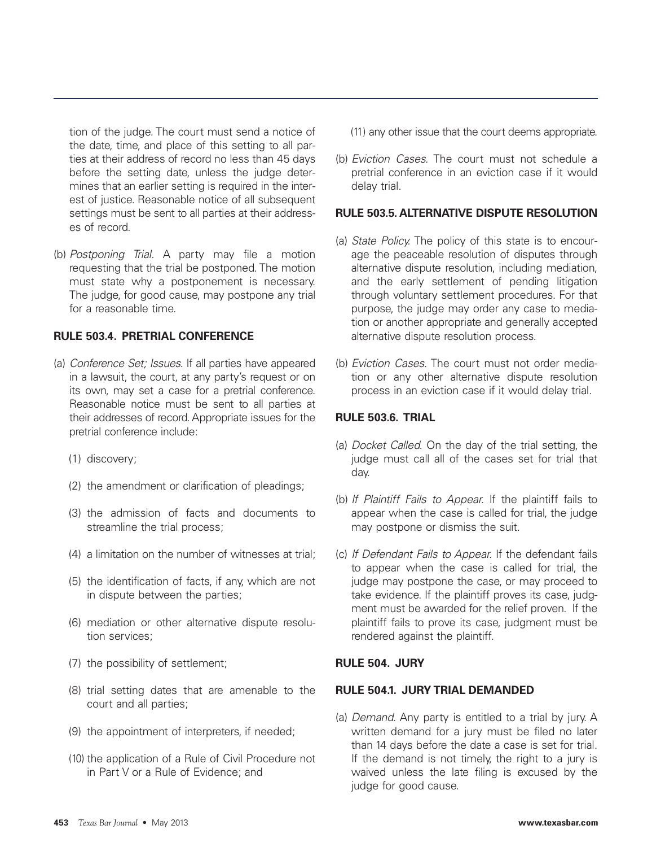tion of the judge. The court must send a notice of the date, time, and place of this setting to all parties at their address of record no less than 45 days before the setting date, unless the judge determines that an earlier setting is required in the interest of justice. Reasonable notice of all subsequent settings must be sent to all parties at their addresses of record.

(b) Postponing Trial. A party may file a motion requesting that the trial be postponed. The motion must state why a postponement is necessary. The judge, for good cause, may postpone any trial for a reasonable time.

## **RULE 503.4. PRETRIAL CONFERENCE**

- (a) Conference Set; Issues. If all parties have appeared in a lawsuit, the court, at any party's request or on its own, may set a case for a pretrial conference. Reasonable notice must be sent to all parties at their addresses of record. Appropriate issues for the pretrial conference include:
	- (1) discovery;
	- (2) the amendment or clarification of pleadings;
	- (3) the admission of facts and documents to streamline the trial process;
	- (4) a limitation on the number of witnesses at trial;
	- (5) the identification of facts, if any, which are not in dispute between the parties;
	- (6) mediation or other alternative dispute resolution services;
	- (7) the possibility of settlement;
	- (8) trial setting dates that are amenable to the court and all parties;
	- (9) the appointment of interpreters, if needed;
	- (10) the application of a Rule of Civil Procedure not in Part V or a Rule of Evidence; and

(11) any other issue that the court deems appropriate.

(b) Eviction Cases. The court must not schedule a pretrial conference in an eviction case if it would delay trial.

#### **RULE 503.5. ALTERNATIVE DISPUTE RESOLUTION**

- (a) State Policy. The policy of this state is to encourage the peaceable resolution of disputes through alternative dispute resolution, including mediation, and the early settlement of pending litigation through voluntary settlement procedures. For that purpose, the judge may order any case to mediation or another appropriate and generally accepted alternative dispute resolution process.
- (b) Eviction Cases. The court must not order mediation or any other alternative dispute resolution process in an eviction case if it would delay trial.

# **RULE 503.6. TRIAL**

- (a) Docket Called. On the day of the trial setting, the judge must call all of the cases set for trial that day.
- (b) If Plaintiff Fails to Appear. If the plaintiff fails to appear when the case is called for trial, the judge may postpone or dismiss the suit.
- (c) If Defendant Fails to Appear. If the defendant fails to appear when the case is called for trial, the judge may postpone the case, or may proceed to take evidence. If the plaintiff proves its case, judgment must be awarded for the relief proven. If the plaintiff fails to prove its case, judgment must be rendered against the plaintiff.

#### **RULE 504. JURY**

#### **RULE 504.1. JURY TRIAL DEMANDED**

(a) Demand. Any party is entitled to a trial by jury. A written demand for a jury must be filed no later than 14 days before the date a case is set for trial. If the demand is not timely, the right to a jury is waived unless the late filing is excused by the judge for good cause.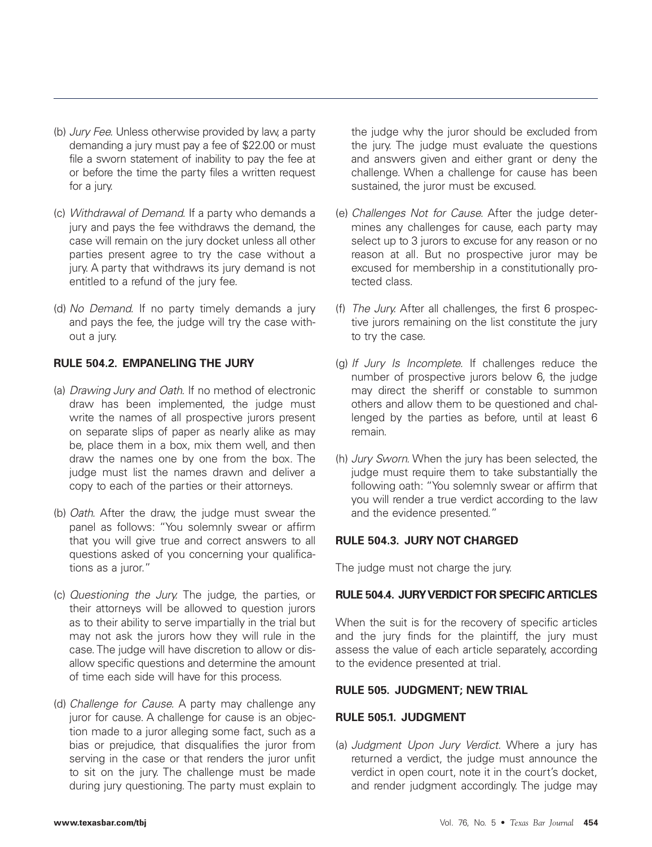- (b) Jury Fee. Unless otherwise provided by law, a party demanding a jury must pay a fee of \$22.00 or must file a sworn statement of inability to pay the fee at or before the time the party files a written request for a jury.
- (c) Withdrawal of Demand. If a party who demands a jury and pays the fee withdraws the demand, the case will remain on the jury docket unless all other parties present agree to try the case without a jury. A party that withdraws its jury demand is not entitled to a refund of the jury fee.
- (d) No Demand. If no party timely demands a jury and pays the fee, the judge will try the case without a jury.

## **RULE 504.2. EMPANELING THE JURY**

- (a) Drawing Jury and Oath. If no method of electronic draw has been implemented, the judge must write the names of all prospective jurors present on separate slips of paper as nearly alike as may be, place them in a box, mix them well, and then draw the names one by one from the box. The judge must list the names drawn and deliver a copy to each of the parties or their attorneys.
- (b) Oath. After the draw, the judge must swear the panel as follows: "You solemnly swear or affirm that you will give true and correct answers to all questions asked of you concerning your qualifications as a juror."
- (c) Questioning the Jury. The judge, the parties, or their attorneys will be allowed to question jurors as to their ability to serve impartially in the trial but may not ask the jurors how they will rule in the case. The judge will have discretion to allow or disallow specific questions and determine the amount of time each side will have for this process.
- (d) Challenge for Cause. A party may challenge any juror for cause. A challenge for cause is an objection made to a juror alleging some fact, such as a bias or prejudice, that disqualifies the juror from serving in the case or that renders the juror unfit to sit on the jury. The challenge must be made during jury questioning. The party must explain to

the judge why the juror should be excluded from the jury. The judge must evaluate the questions and answers given and either grant or deny the challenge. When a challenge for cause has been sustained, the juror must be excused.

- (e) Challenges Not for Cause. After the judge determines any challenges for cause, each party may select up to 3 jurors to excuse for any reason or no reason at all. But no prospective juror may be excused for membership in a constitutionally protected class.
- (f) The Jury. After all challenges, the first 6 prospective jurors remaining on the list constitute the jury to try the case.
- (g) If Jury Is Incomplete. If challenges reduce the number of prospective jurors below 6, the judge may direct the sheriff or constable to summon others and allow them to be questioned and challenged by the parties as before, until at least 6 remain.
- (h) Jury Sworn. When the jury has been selected, the judge must require them to take substantially the following oath: "You solemnly swear or affirm that you will render a true verdict according to the law and the evidence presented."

# **RULE 504.3. JURY NOT CHARGED**

The judge must not charge the jury.

#### **RULE 504.4. JURY VERDICT FOR SPECIFIC ARTICLES**

When the suit is for the recovery of specific articles and the jury finds for the plaintiff, the jury must assess the value of each article separately, according to the evidence presented at trial.

#### **RULE 505. JUDGMENT; NEW TRIAL**

#### **RULE 505.1. JUDGMENT**

(a) Judgment Upon Jury Verdict. Where a jury has returned a verdict, the judge must announce the verdict in open court, note it in the court's docket, and render judgment accordingly. The judge may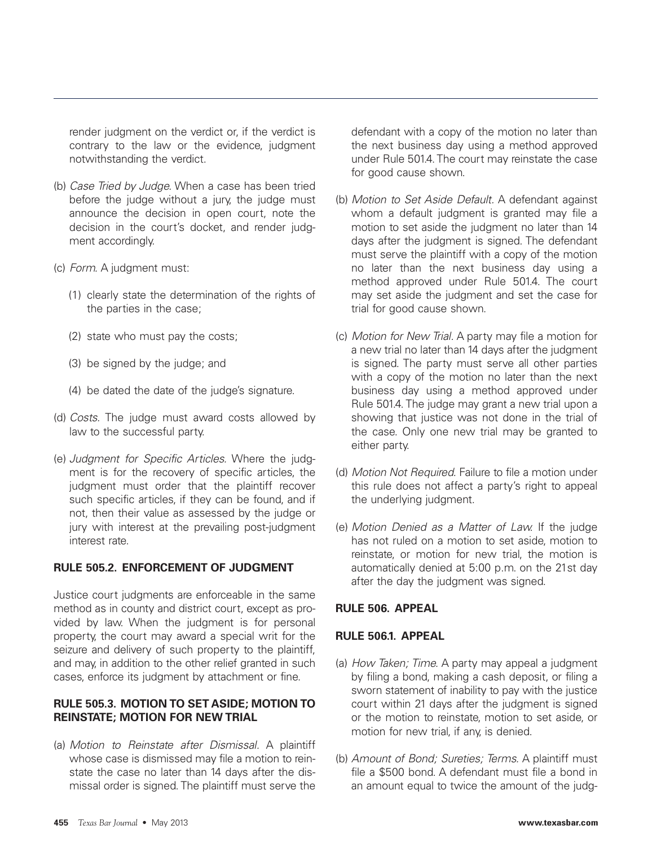render judgment on the verdict or, if the verdict is contrary to the law or the evidence, judgment notwithstanding the verdict.

- (b) Case Tried by Judge. When a case has been tried before the judge without a jury, the judge must announce the decision in open court, note the decision in the court's docket, and render judgment accordingly.
- (c) Form. A judgment must:
	- (1) clearly state the determination of the rights of the parties in the case;
	- (2) state who must pay the costs;
	- (3) be signed by the judge; and
	- (4) be dated the date of the judge's signature.
- (d) Costs. The judge must award costs allowed by law to the successful party.
- (e) Judgment for Specific Articles. Where the judgment is for the recovery of specific articles, the judgment must order that the plaintiff recover such specific articles, if they can be found, and if not, then their value as assessed by the judge or jury with interest at the prevailing post-judgment interest rate.

## **RULE 505.2. ENFORCEMENT OF JUDGMENT**

Justice court judgments are enforceable in the same method as in county and district court, except as provided by law. When the judgment is for personal property, the court may award a special writ for the seizure and delivery of such property to the plaintiff, and may, in addition to the other relief granted in such cases, enforce its judgment by attachment or fine.

#### **RULE 505.3. MOTION TO SET ASIDE; MOTION TO REINSTATE; MOTION FOR NEW TRIAL**

(a) Motion to Reinstate after Dismissal. A plaintiff whose case is dismissed may file a motion to reinstate the case no later than 14 days after the dismissal order is signed. The plaintiff must serve the defendant with a copy of the motion no later than the next business day using a method approved under Rule 501.4. The court may reinstate the case for good cause shown.

- (b) Motion to Set Aside Default. A defendant against whom a default judgment is granted may file a motion to set aside the judgment no later than 14 days after the judgment is signed. The defendant must serve the plaintiff with a copy of the motion no later than the next business day using a method approved under Rule 501.4. The court may set aside the judgment and set the case for trial for good cause shown.
- (c) Motion for New Trial. A party may file a motion for a new trial no later than 14 days after the judgment is signed. The party must serve all other parties with a copy of the motion no later than the next business day using a method approved under Rule 501.4. The judge may grant a new trial upon a showing that justice was not done in the trial of the case. Only one new trial may be granted to either party.
- (d) Motion Not Required. Failure to file a motion under this rule does not affect a party's right to appeal the underlying judgment.
- (e) Motion Denied as a Matter of Law. If the judge has not ruled on a motion to set aside, motion to reinstate, or motion for new trial, the motion is automatically denied at 5:00 p.m. on the 21st day after the day the judgment was signed.

#### **RULE 506. APPEAL**

#### **RULE 506.1. APPEAL**

- (a) How Taken; Time. A party may appeal a judgment by filing a bond, making a cash deposit, or filing a sworn statement of inability to pay with the justice court within 21 days after the judgment is signed or the motion to reinstate, motion to set aside, or motion for new trial, if any, is denied.
- (b) Amount of Bond; Sureties; Terms. A plaintiff must file a \$500 bond. A defendant must file a bond in an amount equal to twice the amount of the judg-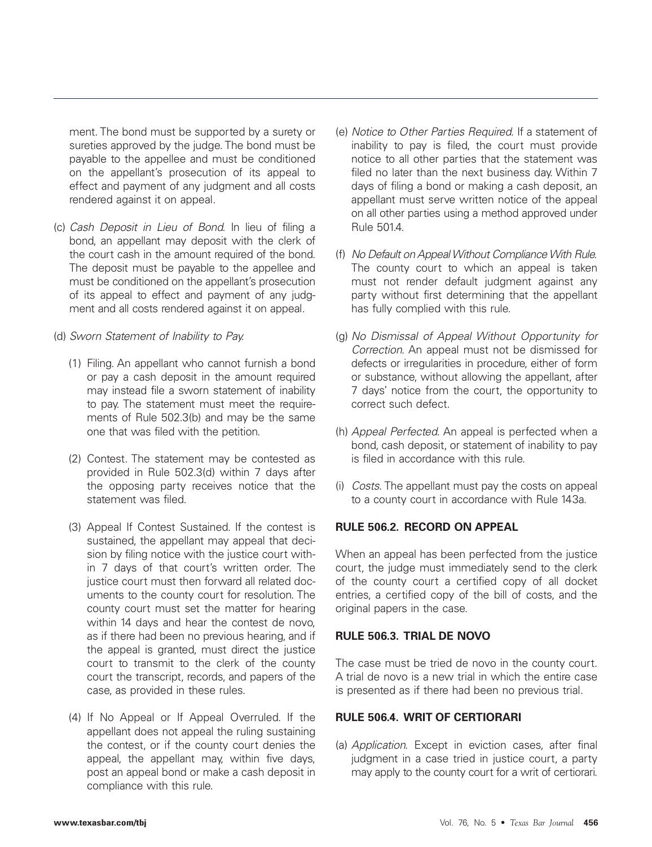ment. The bond must be supported by a surety or sureties approved by the judge. The bond must be payable to the appellee and must be conditioned on the appellant's prosecution of its appeal to effect and payment of any judgment and all costs rendered against it on appeal.

- (c) Cash Deposit in Lieu of Bond. In lieu of filing a bond, an appellant may deposit with the clerk of the court cash in the amount required of the bond. The deposit must be payable to the appellee and must be conditioned on the appellant's prosecution of its appeal to effect and payment of any judgment and all costs rendered against it on appeal.
- (d) Sworn Statement of Inability to Pay.
	- (1) Filing. An appellant who cannot furnish a bond or pay a cash deposit in the amount required may instead file a sworn statement of inability to pay. The statement must meet the requirements of Rule 502.3(b) and may be the same one that was filed with the petition.
	- (2) Contest. The statement may be contested as provided in Rule 502.3(d) within 7 days after the opposing party receives notice that the statement was filed.
	- (3) Appeal If Contest Sustained. If the contest is sustained, the appellant may appeal that decision by filing notice with the justice court within 7 days of that court's written order. The justice court must then forward all related documents to the county court for resolution. The county court must set the matter for hearing within 14 days and hear the contest de novo, as if there had been no previous hearing, and if the appeal is granted, must direct the justice court to transmit to the clerk of the county court the transcript, records, and papers of the case, as provided in these rules.
	- (4) If No Appeal or If Appeal Overruled. If the appellant does not appeal the ruling sustaining the contest, or if the county court denies the appeal, the appellant may, within five days, post an appeal bond or make a cash deposit in compliance with this rule.
- (e) Notice to Other Parties Required. If a statement of inability to pay is filed, the court must provide notice to all other parties that the statement was filed no later than the next business day. Within 7 days of filing a bond or making a cash deposit, an appellant must serve written notice of the appeal on all other parties using a method approved under Rule 501.4.
- (f) No Default on Appeal Without Compliance With Rule. The county court to which an appeal is taken must not render default judgment against any party without first determining that the appellant has fully complied with this rule.
- (g) No Dismissal of Appeal Without Opportunity for Correction. An appeal must not be dismissed for defects or irregularities in procedure, either of form or substance, without allowing the appellant, after 7 days' notice from the court, the opportunity to correct such defect.
- (h) Appeal Perfected. An appeal is perfected when a bond, cash deposit, or statement of inability to pay is filed in accordance with this rule.
- (i) Costs. The appellant must pay the costs on appeal to a county court in accordance with Rule 143a.

## **RULE 506.2. RECORD ON APPEAL**

When an appeal has been perfected from the justice court, the judge must immediately send to the clerk of the county court a certified copy of all docket entries, a certified copy of the bill of costs, and the original papers in the case.

## **RULE 506.3. TRIAL DE NOVO**

The case must be tried de novo in the county court. A trial de novo is a new trial in which the entire case is presented as if there had been no previous trial.

#### **RULE 506.4. WRIT OF CERTIORARI**

(a) Application. Except in eviction cases, after final judgment in a case tried in justice court, a party may apply to the county court for a writ of certiorari.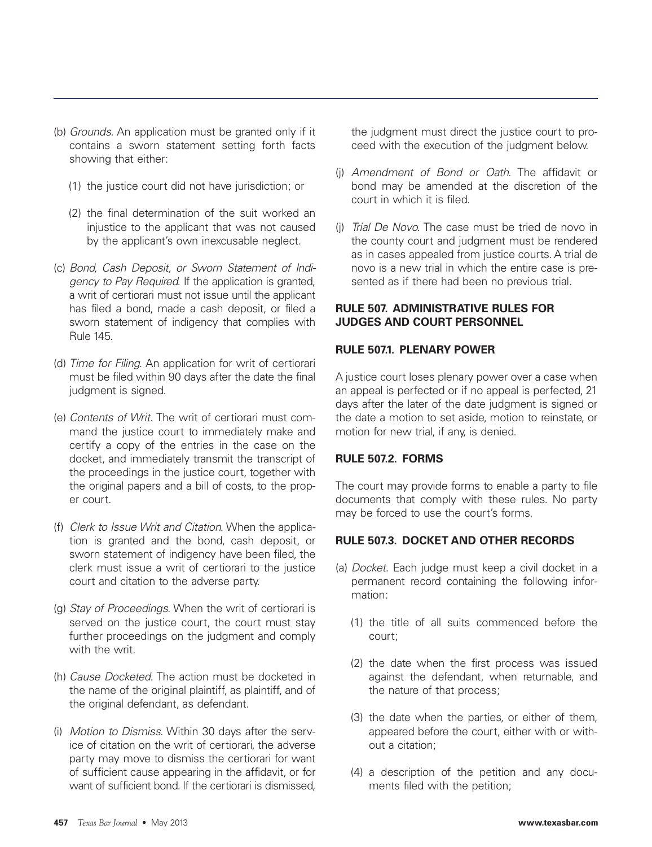- (b) Grounds. An application must be granted only if it contains a sworn statement setting forth facts showing that either:
	- (1) the justice court did not have jurisdiction; or
	- (2) the final determination of the suit worked an injustice to the applicant that was not caused by the applicant's own inexcusable neglect.
- (c) Bond, Cash Deposit, or Sworn Statement of Indigency to Pay Required. If the application is granted, a writ of certiorari must not issue until the applicant has filed a bond, made a cash deposit, or filed a sworn statement of indigency that complies with Rule 145.
- (d) Time for Filing. An application for writ of certiorari must be filed within 90 days after the date the final judgment is signed.
- (e) Contents of Writ. The writ of certiorari must command the justice court to immediately make and certify a copy of the entries in the case on the docket, and immediately transmit the transcript of the proceedings in the justice court, together with the original papers and a bill of costs, to the proper court.
- (f) Clerk to Issue Writ and Citation. When the application is granted and the bond, cash deposit, or sworn statement of indigency have been filed, the clerk must issue a writ of certiorari to the justice court and citation to the adverse party.
- (g) Stay of Proceedings. When the writ of certiorari is served on the justice court, the court must stay further proceedings on the judgment and comply with the writ.
- (h) Cause Docketed. The action must be docketed in the name of the original plaintiff, as plaintiff, and of the original defendant, as defendant.
- (i) Motion to Dismiss. Within 30 days after the service of citation on the writ of certiorari, the adverse party may move to dismiss the certiorari for want of sufficient cause appearing in the affidavit, or for want of sufficient bond. If the certiorari is dismissed,

the judgment must direct the justice court to proceed with the execution of the judgment below.

- (j) Amendment of Bond or Oath. The affidavit or bond may be amended at the discretion of the court in which it is filed.
- (j) Trial De Novo. The case must be tried de novo in the county court and judgment must be rendered as in cases appealed from justice courts. A trial de novo is a new trial in which the entire case is presented as if there had been no previous trial.

# **RULE 507. ADMINISTRATIVE RULES FOR JUDGES AND COURT PERSONNEL**

# **RULE 507.1. PLENARY POWER**

A justice court loses plenary power over a case when an appeal is perfected or if no appeal is perfected, 21 days after the later of the date judgment is signed or the date a motion to set aside, motion to reinstate, or motion for new trial, if any, is denied.

# **RULE 507.2. FORMS**

The court may provide forms to enable a party to file documents that comply with these rules. No party may be forced to use the court's forms.

# **RULE 507.3. DOCKET AND OTHER RECORDS**

- (a) Docket. Each judge must keep a civil docket in a permanent record containing the following information:
	- (1) the title of all suits commenced before the court;
	- (2) the date when the first process was issued against the defendant, when returnable, and the nature of that process;
	- (3) the date when the parties, or either of them, appeared before the court, either with or without a citation;
	- (4) a description of the petition and any documents filed with the petition;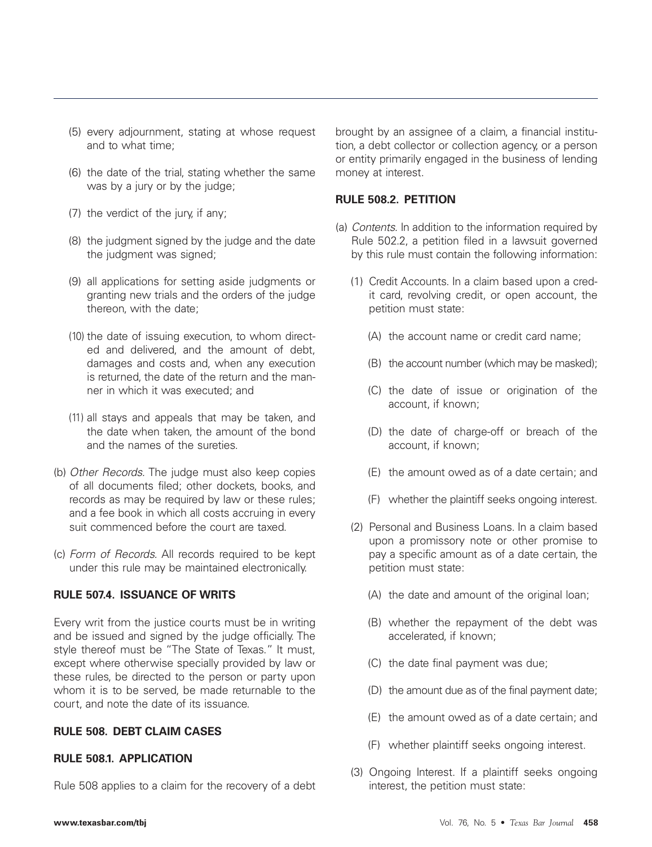- (5) every adjournment, stating at whose request and to what time;
- (6) the date of the trial, stating whether the same was by a jury or by the judge;
- (7) the verdict of the jury, if any;
- (8) the judgment signed by the judge and the date the judgment was signed;
- (9) all applications for setting aside judgments or granting new trials and the orders of the judge thereon, with the date;
- (10) the date of issuing execution, to whom directed and delivered, and the amount of debt, damages and costs and, when any execution is returned, the date of the return and the manner in which it was executed; and
- (11) all stays and appeals that may be taken, and the date when taken, the amount of the bond and the names of the sureties.
- (b) Other Records. The judge must also keep copies of all documents filed; other dockets, books, and records as may be required by law or these rules; and a fee book in which all costs accruing in every suit commenced before the court are taxed.
- (c) Form of Records. All records required to be kept under this rule may be maintained electronically.

# **RULE 507.4. ISSUANCE OF WRITS**

Every writ from the justice courts must be in writing and be issued and signed by the judge officially. The style thereof must be "The State of Texas." It must, except where otherwise specially provided by law or these rules, be directed to the person or party upon whom it is to be served, be made returnable to the court, and note the date of its issuance.

## **RULE 508. DEBT CLAIM CASES**

# **RULE 508.1. APPLICATION**

Rule 508 applies to a claim for the recovery of a debt

brought by an assignee of a claim, a financial institution, a debt collector or collection agency, or a person or entity primarily engaged in the business of lending money at interest.

#### **RULE 508.2. PETITION**

- (a) Contents. In addition to the information required by Rule 502.2, a petition filed in a lawsuit governed by this rule must contain the following information:
	- (1) Credit Accounts. In a claim based upon a credit card, revolving credit, or open account, the petition must state:
		- (A) the account name or credit card name;
		- (B) the account number (which may be masked);
		- (C) the date of issue or origination of the account, if known;
		- (D) the date of charge-off or breach of the account, if known;
		- (E) the amount owed as of a date certain; and
		- (F) whether the plaintiff seeks ongoing interest.
	- (2) Personal and Business Loans. In a claim based upon a promissory note or other promise to pay a specific amount as of a date certain, the petition must state:
		- (A) the date and amount of the original loan;
		- (B) whether the repayment of the debt was accelerated, if known;
		- (C) the date final payment was due;
		- (D) the amount due as of the final payment date;
		- (E) the amount owed as of a date certain; and
		- (F) whether plaintiff seeks ongoing interest.
	- (3) Ongoing Interest. If a plaintiff seeks ongoing interest, the petition must state: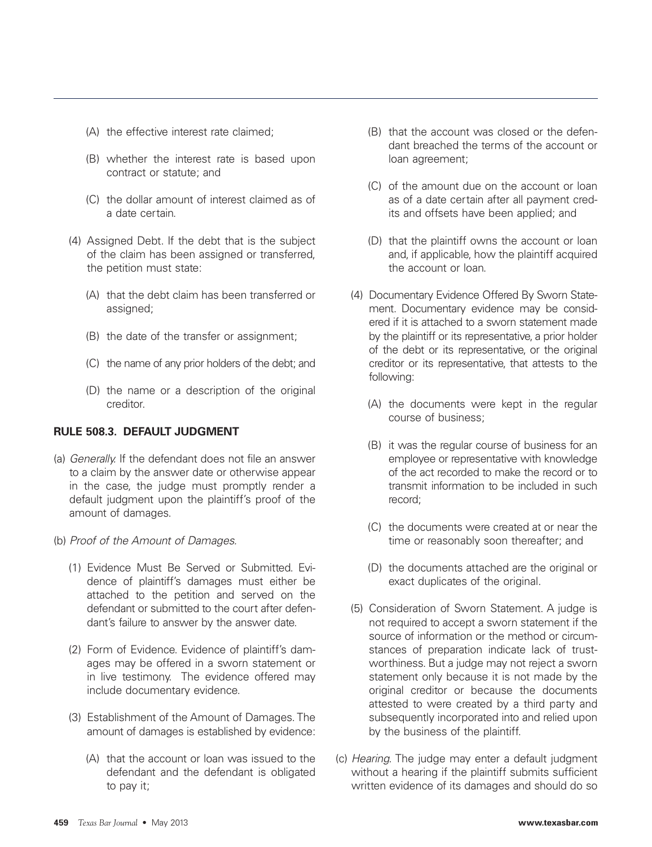- (A) the effective interest rate claimed;
- (B) whether the interest rate is based upon contract or statute; and
- (C) the dollar amount of interest claimed as of a date certain.
- (4) Assigned Debt. If the debt that is the subject of the claim has been assigned or transferred, the petition must state:
	- (A) that the debt claim has been transferred or assigned;
	- (B) the date of the transfer or assignment;
	- (C) the name of any prior holders of the debt; and
	- (D) the name or a description of the original creditor.

# **RULE 508.3. DEFAULT JUDGMENT**

- (a) Generally. If the defendant does not file an answer to a claim by the answer date or otherwise appear in the case, the judge must promptly render a default judgment upon the plaintiff's proof of the amount of damages.
- (b) Proof of the Amount of Damages.
	- (1) Evidence Must Be Served or Submitted. Evidence of plaintiff's damages must either be attached to the petition and served on the defendant or submitted to the court after defendant's failure to answer by the answer date.
	- (2) Form of Evidence. Evidence of plaintiff's damages may be offered in a sworn statement or in live testimony. The evidence offered may include documentary evidence.
	- (3) Establishment of the Amount of Damages. The amount of damages is established by evidence:
		- (A) that the account or loan was issued to the defendant and the defendant is obligated to pay it;
- (B) that the account was closed or the defendant breached the terms of the account or loan agreement;
- (C) of the amount due on the account or loan as of a date certain after all payment credits and offsets have been applied; and
- (D) that the plaintiff owns the account or loan and, if applicable, how the plaintiff acquired the account or loan.
- (4) Documentary Evidence Offered By Sworn Statement. Documentary evidence may be considered if it is attached to a sworn statement made by the plaintiff or its representative, a prior holder of the debt or its representative, or the original creditor or its representative, that attests to the following:
	- (A) the documents were kept in the regular course of business;
	- (B) it was the regular course of business for an employee or representative with knowledge of the act recorded to make the record or to transmit information to be included in such record;
	- (C) the documents were created at or near the time or reasonably soon thereafter; and
	- (D) the documents attached are the original or exact duplicates of the original.
- (5) Consideration of Sworn Statement. A judge is not required to accept a sworn statement if the source of information or the method or circumstances of preparation indicate lack of trustworthiness. But a judge may not reject a sworn statement only because it is not made by the original creditor or because the documents attested to were created by a third party and subsequently incorporated into and relied upon by the business of the plaintiff.
- (c) Hearing. The judge may enter a default judgment without a hearing if the plaintiff submits sufficient written evidence of its damages and should do so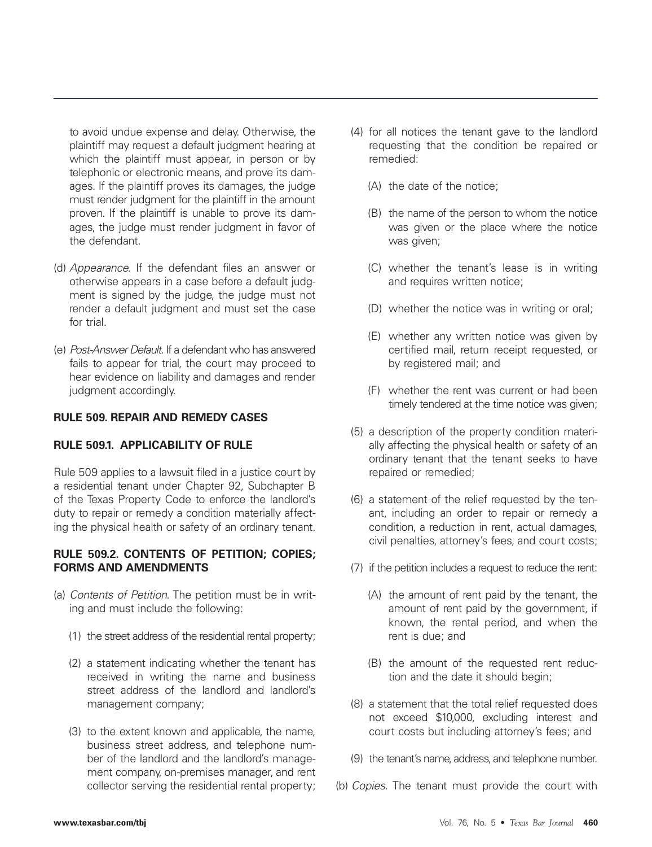to avoid undue expense and delay. Otherwise, the plaintiff may request a default judgment hearing at which the plaintiff must appear, in person or by telephonic or electronic means, and prove its damages. If the plaintiff proves its damages, the judge must render judgment for the plaintiff in the amount proven. If the plaintiff is unable to prove its damages, the judge must render judgment in favor of the defendant.

- (d) Appearance. If the defendant files an answer or otherwise appears in a case before a default judgment is signed by the judge, the judge must not render a default judgment and must set the case for trial
- (e) Post-Answer Default. If a defendant who has answered fails to appear for trial, the court may proceed to hear evidence on liability and damages and render judgment accordingly.

## **RULE 509. REPAIR AND REMEDY CASES**

## **RULE 509.1. APPLICABILITY OF RULE**

Rule 509 applies to a lawsuit filed in a justice court by a residential tenant under Chapter 92, Subchapter B of the Texas Property Code to enforce the landlord's duty to repair or remedy a condition materially affecting the physical health or safety of an ordinary tenant.

## **RULE 509.2. CONTENTS OF PETITION; COPIES; FORMS AND AMENDMENTS**

- (a) Contents of Petition. The petition must be in writing and must include the following:
	- (1) the street address of the residential rental property;
	- (2) a statement indicating whether the tenant has received in writing the name and business street address of the landlord and landlord's management company;
	- (3) to the extent known and applicable, the name, business street address, and telephone number of the landlord and the landlord's management company, on-premises manager, and rent collector serving the residential rental property;
- (4) for all notices the tenant gave to the landlord requesting that the condition be repaired or remedied:
	- (A) the date of the notice;
	- (B) the name of the person to whom the notice was given or the place where the notice was given;
	- (C) whether the tenant's lease is in writing and requires written notice;
	- (D) whether the notice was in writing or oral;
	- (E) whether any written notice was given by certified mail, return receipt requested, or by registered mail; and
	- (F) whether the rent was current or had been timely tendered at the time notice was given;
- (5) a description of the property condition materially affecting the physical health or safety of an ordinary tenant that the tenant seeks to have repaired or remedied;
- (6) a statement of the relief requested by the tenant, including an order to repair or remedy a condition, a reduction in rent, actual damages, civil penalties, attorney's fees, and court costs;
- (7) if the petition includes a request to reduce the rent:
	- (A) the amount of rent paid by the tenant, the amount of rent paid by the government, if known, the rental period, and when the rent is due; and
	- (B) the amount of the requested rent reduction and the date it should begin;
- (8) a statement that the total relief requested does not exceed \$10,000, excluding interest and court costs but including attorney's fees; and
- (9) the tenant's name, address, and telephone number.
- (b) Copies. The tenant must provide the court with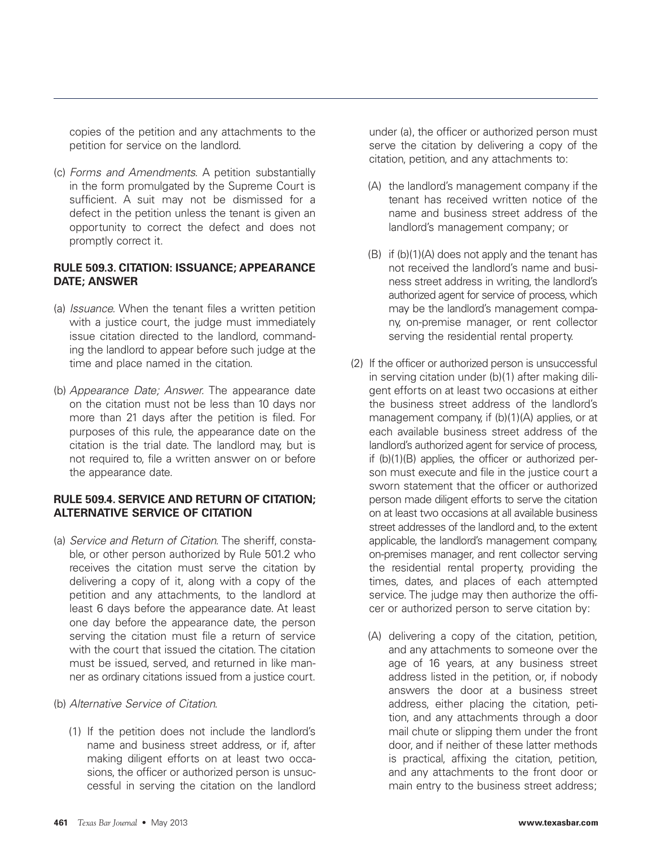copies of the petition and any attachments to the petition for service on the landlord.

(c) Forms and Amendments. A petition substantially in the form promulgated by the Supreme Court is sufficient. A suit may not be dismissed for a defect in the petition unless the tenant is given an opportunity to correct the defect and does not promptly correct it.

## **RULE 509.3. CITATION: ISSUANCE; APPEARANCE DATE; ANSWER**

- (a) Issuance. When the tenant files a written petition with a justice court, the judge must immediately issue citation directed to the landlord, commanding the landlord to appear before such judge at the time and place named in the citation.
- (b) Appearance Date; Answer. The appearance date on the citation must not be less than 10 days nor more than 21 days after the petition is filed. For purposes of this rule, the appearance date on the citation is the trial date. The landlord may, but is not required to, file a written answer on or before the appearance date.

## **RULE 509.4. SERVICE AND RETURN OF CITATION; ALTERNATIVE SERVICE OF CITATION**

(a) Service and Return of Citation. The sheriff, constable, or other person authorized by Rule 501.2 who receives the citation must serve the citation by delivering a copy of it, along with a copy of the petition and any attachments, to the landlord at least 6 days before the appearance date. At least one day before the appearance date, the person serving the citation must file a return of service with the court that issued the citation. The citation must be issued, served, and returned in like manner as ordinary citations issued from a justice court.

#### (b) Alternative Service of Citation.

(1) If the petition does not include the landlord's name and business street address, or if, after making diligent efforts on at least two occasions, the officer or authorized person is unsuccessful in serving the citation on the landlord under (a), the officer or authorized person must serve the citation by delivering a copy of the citation, petition, and any attachments to:

- (A) the landlord's management company if the tenant has received written notice of the name and business street address of the landlord's management company; or
- (B) if (b)(1)(A) does not apply and the tenant has not received the landlord's name and business street address in writing, the landlord's authorized agent for service of process, which may be the landlord's management company, on-premise manager, or rent collector serving the residential rental property.
- (2) If the officer or authorized person is unsuccessful in serving citation under (b)(1) after making diligent efforts on at least two occasions at either the business street address of the landlord's management company, if (b)(1)(A) applies, or at each available business street address of the landlord's authorized agent for service of process, if (b)(1)(B) applies, the officer or authorized person must execute and file in the justice court a sworn statement that the officer or authorized person made diligent efforts to serve the citation on at least two occasions at all available business street addresses of the landlord and, to the extent applicable, the landlord's management company, on-premises manager, and rent collector serving the residential rental property, providing the times, dates, and places of each attempted service. The judge may then authorize the officer or authorized person to serve citation by:
	- (A) delivering a copy of the citation, petition, and any attachments to someone over the age of 16 years, at any business street address listed in the petition, or, if nobody answers the door at a business street address, either placing the citation, petition, and any attachments through a door mail chute or slipping them under the front door, and if neither of these latter methods is practical, affixing the citation, petition, and any attachments to the front door or main entry to the business street address;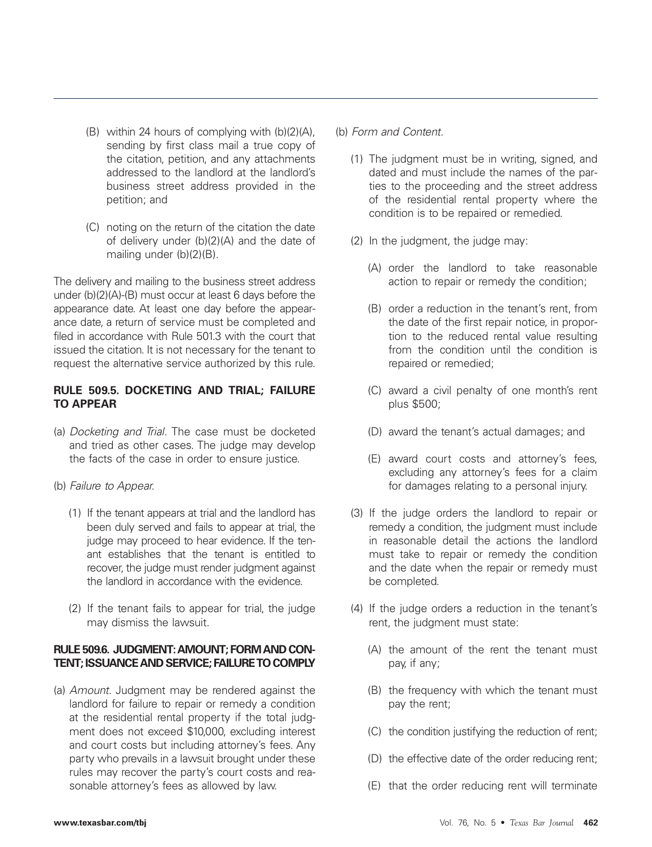- (B) within 24 hours of complying with (b)(2)(A), sending by first class mail a true copy of the citation, petition, and any attachments addressed to the landlord at the landlord's business street address provided in the petition; and
- (C) noting on the return of the citation the date of delivery under (b)(2)(A) and the date of mailing under (b)(2)(B).

The delivery and mailing to the business street address under (b)(2)(A)-(B) must occur at least 6 days before the appearance date. At least one day before the appearance date, a return of service must be completed and filed in accordance with Rule 501.3 with the court that issued the citation. It is not necessary for the tenant to request the alternative service authorized by this rule.

# **RULE 509.5. DOCKETING AND TRIAL; FAILURE TO APPEAR**

- (a) Docketing and Trial. The case must be docketed and tried as other cases. The judge may develop the facts of the case in order to ensure justice.
- (b) Failure to Appear.
	- (1) If the tenant appears at trial and the landlord has been duly served and fails to appear at trial, the judge may proceed to hear evidence. If the tenant establishes that the tenant is entitled to recover, the judge must render judgment against the landlord in accordance with the evidence.
	- (2) If the tenant fails to appear for trial, the judge may dismiss the lawsuit.

## **RULE 509.6. JUDGMENT: AMOUNT; FORM AND CON-TENT; ISSUANCE AND SERVICE; FAILURE TO COMPLY**

(a) Amount. Judgment may be rendered against the landlord for failure to repair or remedy a condition at the residential rental property if the total judgment does not exceed \$10,000, excluding interest and court costs but including attorney's fees. Any party who prevails in a lawsuit brought under these rules may recover the party's court costs and reasonable attorney's fees as allowed by law.

#### (b) Form and Content.

- (1) The judgment must be in writing, signed, and dated and must include the names of the parties to the proceeding and the street address of the residential rental property where the condition is to be repaired or remedied.
- (2) In the judgment, the judge may:
	- (A) order the landlord to take reasonable action to repair or remedy the condition;
	- (B) order a reduction in the tenant's rent, from the date of the first repair notice, in proportion to the reduced rental value resulting from the condition until the condition is repaired or remedied;
	- (C) award a civil penalty of one month's rent plus \$500;
	- (D) award the tenant's actual damages; and
	- (E) award court costs and attorney's fees, excluding any attorney's fees for a claim for damages relating to a personal injury.
- (3) If the judge orders the landlord to repair or remedy a condition, the judgment must include in reasonable detail the actions the landlord must take to repair or remedy the condition and the date when the repair or remedy must be completed.
- (4) If the judge orders a reduction in the tenant's rent, the judgment must state:
	- (A) the amount of the rent the tenant must pay, if any;
	- (B) the frequency with which the tenant must pay the rent;
	- (C) the condition justifying the reduction of rent;
	- (D) the effective date of the order reducing rent;
	- (E) that the order reducing rent will terminate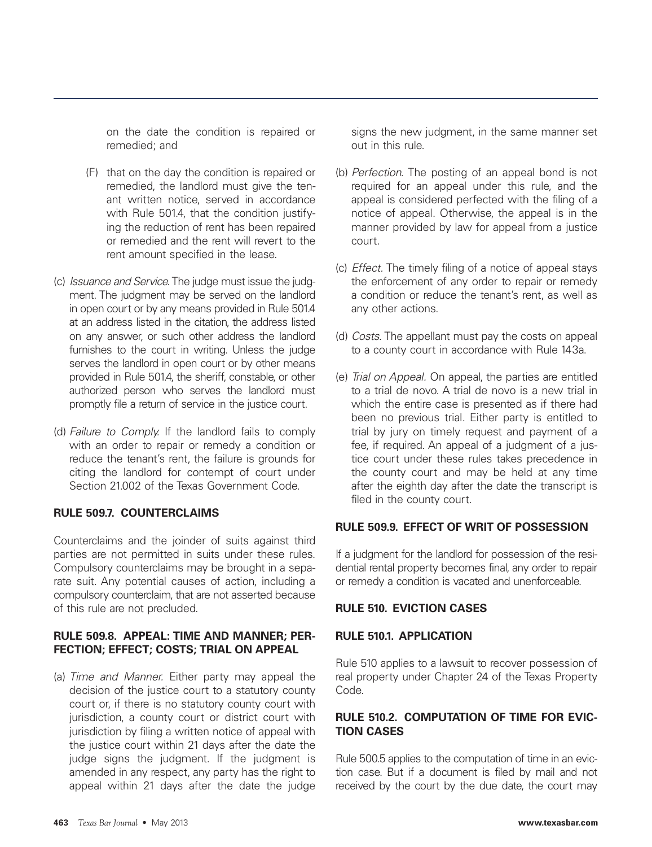on the date the condition is repaired or remedied; and

- (F) that on the day the condition is repaired or remedied, the landlord must give the tenant written notice, served in accordance with Rule 501.4, that the condition justifying the reduction of rent has been repaired or remedied and the rent will revert to the rent amount specified in the lease.
- (c) Issuance and Service. The judge must issue the judgment. The judgment may be served on the landlord in open court or by any means provided in Rule 501.4 at an address listed in the citation, the address listed on any answer, or such other address the landlord furnishes to the court in writing. Unless the judge serves the landlord in open court or by other means provided in Rule 501.4, the sheriff, constable, or other authorized person who serves the landlord must promptly file a return of service in the justice court.
- (d) Failure to Comply. If the landlord fails to comply with an order to repair or remedy a condition or reduce the tenant's rent, the failure is grounds for citing the landlord for contempt of court under Section 21.002 of the Texas Government Code.

## **RULE 509.7. COUNTERCLAIMS**

Counterclaims and the joinder of suits against third parties are not permitted in suits under these rules. Compulsory counterclaims may be brought in a separate suit. Any potential causes of action, including a compulsory counterclaim, that are not asserted because of this rule are not precluded.

## **RULE 509.8. APPEAL: TIME AND MANNER; PER-FECTION; EFFECT; COSTS; TRIAL ON APPEAL**

(a) Time and Manner. Either party may appeal the decision of the justice court to a statutory county court or, if there is no statutory county court with jurisdiction, a county court or district court with jurisdiction by filing a written notice of appeal with the justice court within 21 days after the date the judge signs the judgment. If the judgment is amended in any respect, any party has the right to appeal within 21 days after the date the judge

signs the new judgment, in the same manner set out in this rule.

- (b) Perfection. The posting of an appeal bond is not required for an appeal under this rule, and the appeal is considered perfected with the filing of a notice of appeal. Otherwise, the appeal is in the manner provided by law for appeal from a justice court.
- (c) Effect. The timely filing of a notice of appeal stays the enforcement of any order to repair or remedy a condition or reduce the tenant's rent, as well as any other actions.
- (d) Costs. The appellant must pay the costs on appeal to a county court in accordance with Rule 143a.
- (e) Trial on Appeal. On appeal, the parties are entitled to a trial de novo. A trial de novo is a new trial in which the entire case is presented as if there had been no previous trial. Either party is entitled to trial by jury on timely request and payment of a fee, if required. An appeal of a judgment of a justice court under these rules takes precedence in the county court and may be held at any time after the eighth day after the date the transcript is filed in the county court.

#### **RULE 509.9. EFFECT OF WRIT OF POSSESSION**

If a judgment for the landlord for possession of the residential rental property becomes final, any order to repair or remedy a condition is vacated and unenforceable.

#### **RULE 510. EVICTION CASES**

## **RULE 510.1. APPLICATION**

Rule 510 applies to a lawsuit to recover possession of real property under Chapter 24 of the Texas Property Code.

# **RULE 510.2. COMPUTATION OF TIME FOR EVIC-TION CASES**

Rule 500.5 applies to the computation of time in an eviction case. But if a document is filed by mail and not received by the court by the due date, the court may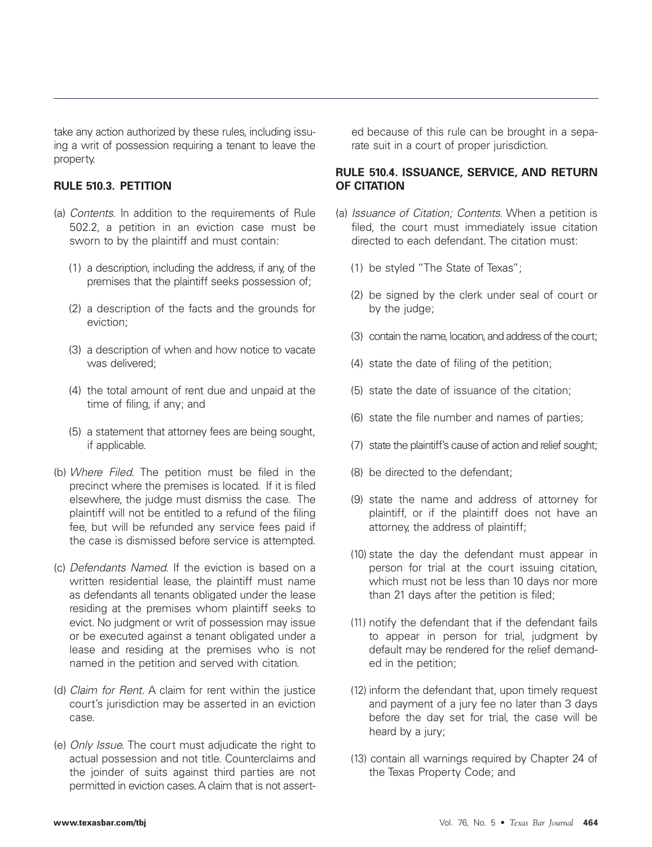take any action authorized by these rules, including issuing a writ of possession requiring a tenant to leave the property.

# **RULE 510.3. PETITION**

- (a) Contents. In addition to the requirements of Rule 502.2, a petition in an eviction case must be sworn to by the plaintiff and must contain:
	- (1) a description, including the address, if any, of the premises that the plaintiff seeks possession of;
	- (2) a description of the facts and the grounds for eviction;
	- (3) a description of when and how notice to vacate was delivered;
	- (4) the total amount of rent due and unpaid at the time of filing, if any; and
	- (5) a statement that attorney fees are being sought, if applicable.
- (b) Where Filed. The petition must be filed in the precinct where the premises is located. If it is filed elsewhere, the judge must dismiss the case. The plaintiff will not be entitled to a refund of the filing fee, but will be refunded any service fees paid if the case is dismissed before service is attempted.
- (c) Defendants Named. If the eviction is based on a written residential lease, the plaintiff must name as defendants all tenants obligated under the lease residing at the premises whom plaintiff seeks to evict. No judgment or writ of possession may issue or be executed against a tenant obligated under a lease and residing at the premises who is not named in the petition and served with citation.
- (d) Claim for Rent. A claim for rent within the justice court's jurisdiction may be asserted in an eviction case.
- (e) Only Issue. The court must adjudicate the right to actual possession and not title. Counterclaims and the joinder of suits against third parties are not permitted in eviction cases. A claim that is not assert-

ed because of this rule can be brought in a separate suit in a court of proper jurisdiction.

#### **RULE 510.4. ISSUANCE, SERVICE, AND RETURN OF CITATION**

- (a) Issuance of Citation; Contents. When a petition is filed, the court must immediately issue citation directed to each defendant. The citation must:
	- (1) be styled "The State of Texas";
	- (2) be signed by the clerk under seal of court or by the judge;
	- (3) contain the name, location, and address of the court;
	- (4) state the date of filing of the petition;
	- (5) state the date of issuance of the citation;
	- (6) state the file number and names of parties;
	- (7) state the plaintiff's cause of action and relief sought;
	- (8) be directed to the defendant;
	- (9) state the name and address of attorney for plaintiff, or if the plaintiff does not have an attorney, the address of plaintiff;
	- (10) state the day the defendant must appear in person for trial at the court issuing citation, which must not be less than 10 days nor more than 21 days after the petition is filed;
	- (11) notify the defendant that if the defendant fails to appear in person for trial, judgment by default may be rendered for the relief demanded in the petition;
	- (12) inform the defendant that, upon timely request and payment of a jury fee no later than 3 days before the day set for trial, the case will be heard by a jury;
	- (13) contain all warnings required by Chapter 24 of the Texas Property Code; and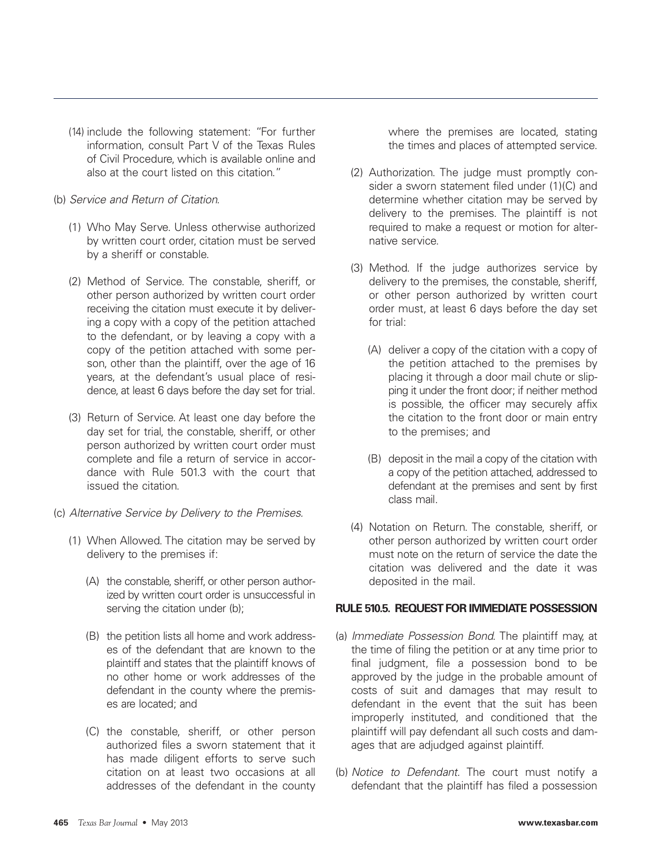- (14) include the following statement: "For further information, consult Part V of the Texas Rules of Civil Procedure, which is available online and also at the court listed on this citation."
- (b) Service and Return of Citation.
	- (1) Who May Serve. Unless otherwise authorized by written court order, citation must be served by a sheriff or constable.
	- (2) Method of Service. The constable, sheriff, or other person authorized by written court order receiving the citation must execute it by delivering a copy with a copy of the petition attached to the defendant, or by leaving a copy with a copy of the petition attached with some person, other than the plaintiff, over the age of 16 years, at the defendant's usual place of residence, at least 6 days before the day set for trial.
	- (3) Return of Service. At least one day before the day set for trial, the constable, sheriff, or other person authorized by written court order must complete and file a return of service in accordance with Rule 501.3 with the court that issued the citation.
- (c) Alternative Service by Delivery to the Premises.
	- (1) When Allowed. The citation may be served by delivery to the premises if:
		- (A) the constable, sheriff, or other person authorized by written court order is unsuccessful in serving the citation under (b);
		- (B) the petition lists all home and work addresses of the defendant that are known to the plaintiff and states that the plaintiff knows of no other home or work addresses of the defendant in the county where the premises are located; and
		- (C) the constable, sheriff, or other person authorized files a sworn statement that it has made diligent efforts to serve such citation on at least two occasions at all addresses of the defendant in the county

where the premises are located, stating the times and places of attempted service.

- (2) Authorization. The judge must promptly consider a sworn statement filed under (1)(C) and determine whether citation may be served by delivery to the premises. The plaintiff is not required to make a request or motion for alternative service.
- (3) Method. If the judge authorizes service by delivery to the premises, the constable, sheriff, or other person authorized by written court order must, at least 6 days before the day set for trial:
	- (A) deliver a copy of the citation with a copy of the petition attached to the premises by placing it through a door mail chute or slipping it under the front door; if neither method is possible, the officer may securely affix the citation to the front door or main entry to the premises; and
	- (B) deposit in the mail a copy of the citation with a copy of the petition attached, addressed to defendant at the premises and sent by first class mail.
- (4) Notation on Return. The constable, sheriff, or other person authorized by written court order must note on the return of service the date the citation was delivered and the date it was deposited in the mail.

# **RULE 510.5. REQUEST FOR IMMEDIATE POSSESSION**

- (a) Immediate Possession Bond. The plaintiff may, at the time of filing the petition or at any time prior to final judgment, file a possession bond to be approved by the judge in the probable amount of costs of suit and damages that may result to defendant in the event that the suit has been improperly instituted, and conditioned that the plaintiff will pay defendant all such costs and damages that are adjudged against plaintiff.
- (b) Notice to Defendant. The court must notify a defendant that the plaintiff has filed a possession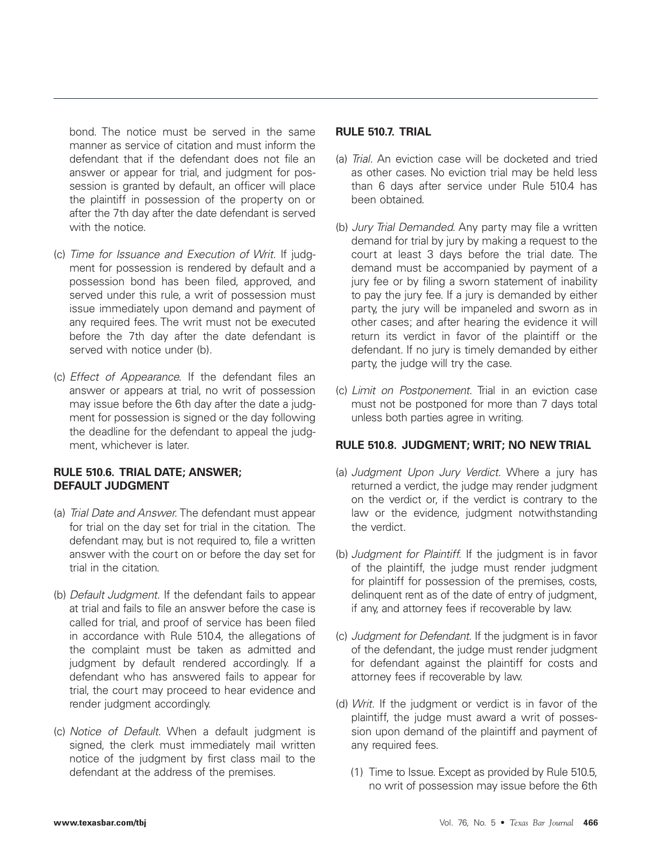bond. The notice must be served in the same manner as service of citation and must inform the defendant that if the defendant does not file an answer or appear for trial, and judgment for possession is granted by default, an officer will place the plaintiff in possession of the property on or after the 7th day after the date defendant is served with the notice.

- (c) Time for Issuance and Execution of Writ. If judgment for possession is rendered by default and a possession bond has been filed, approved, and served under this rule, a writ of possession must issue immediately upon demand and payment of any required fees. The writ must not be executed before the 7th day after the date defendant is served with notice under (b).
- (c) Effect of Appearance. If the defendant files an answer or appears at trial, no writ of possession may issue before the 6th day after the date a judgment for possession is signed or the day following the deadline for the defendant to appeal the judgment, whichever is later.

# **RULE 510.6. TRIAL DATE; ANSWER; DEFAULT JUDGMENT**

- (a) Trial Date and Answer. The defendant must appear for trial on the day set for trial in the citation. The defendant may, but is not required to, file a written answer with the court on or before the day set for trial in the citation.
- (b) Default Judgment. If the defendant fails to appear at trial and fails to file an answer before the case is called for trial, and proof of service has been filed in accordance with Rule 510.4, the allegations of the complaint must be taken as admitted and judgment by default rendered accordingly. If a defendant who has answered fails to appear for trial, the court may proceed to hear evidence and render judgment accordingly.
- (c) Notice of Default. When a default judgment is signed, the clerk must immediately mail written notice of the judgment by first class mail to the defendant at the address of the premises.

#### **RULE 510.7. TRIAL**

- (a) Trial. An eviction case will be docketed and tried as other cases. No eviction trial may be held less than 6 days after service under Rule 510.4 has been obtained.
- (b) Jury Trial Demanded. Any party may file a written demand for trial by jury by making a request to the court at least 3 days before the trial date. The demand must be accompanied by payment of a jury fee or by filing a sworn statement of inability to pay the jury fee. If a jury is demanded by either party, the jury will be impaneled and sworn as in other cases; and after hearing the evidence it will return its verdict in favor of the plaintiff or the defendant. If no jury is timely demanded by either party, the judge will try the case.
- (c) Limit on Postponement. Trial in an eviction case must not be postponed for more than 7 days total unless both parties agree in writing.

## **RULE 510.8. JUDGMENT; WRIT; NO NEW TRIAL**

- (a) Judgment Upon Jury Verdict. Where a jury has returned a verdict, the judge may render judgment on the verdict or, if the verdict is contrary to the law or the evidence, judgment notwithstanding the verdict.
- (b) Judgment for Plaintiff. If the judgment is in favor of the plaintiff, the judge must render judgment for plaintiff for possession of the premises, costs, delinquent rent as of the date of entry of judgment, if any, and attorney fees if recoverable by law.
- (c) Judgment for Defendant. If the judgment is in favor of the defendant, the judge must render judgment for defendant against the plaintiff for costs and attorney fees if recoverable by law.
- (d) Writ. If the judgment or verdict is in favor of the plaintiff, the judge must award a writ of possession upon demand of the plaintiff and payment of any required fees.
	- (1) Time to Issue. Except as provided by Rule 510.5, no writ of possession may issue before the 6th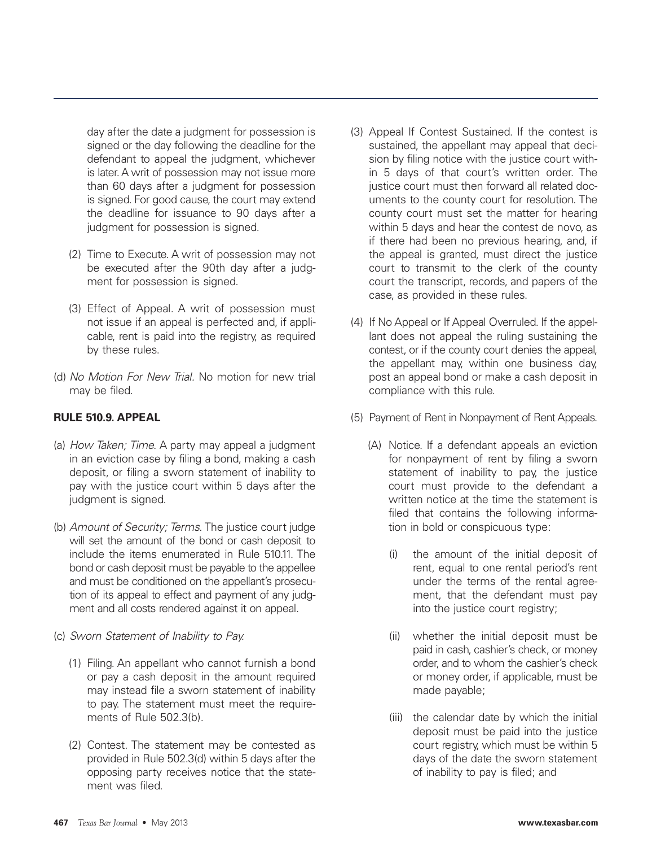day after the date a judgment for possession is signed or the day following the deadline for the defendant to appeal the judgment, whichever is later. A writ of possession may not issue more than 60 days after a judgment for possession is signed. For good cause, the court may extend the deadline for issuance to 90 days after a judgment for possession is signed.

- (2) Time to Execute. A writ of possession may not be executed after the 90th day after a judgment for possession is signed.
- (3) Effect of Appeal. A writ of possession must not issue if an appeal is perfected and, if applicable, rent is paid into the registry, as required by these rules.
- (d) No Motion For New Trial. No motion for new trial may be filed.

# **RULE 510.9. APPEAL**

- (a) How Taken; Time. A party may appeal a judgment in an eviction case by filing a bond, making a cash deposit, or filing a sworn statement of inability to pay with the justice court within 5 days after the judgment is signed.
- (b) Amount of Security; Terms. The justice court judge will set the amount of the bond or cash deposit to include the items enumerated in Rule 510.11. The bond or cash deposit must be payable to the appellee and must be conditioned on the appellant's prosecution of its appeal to effect and payment of any judgment and all costs rendered against it on appeal.
- (c) Sworn Statement of Inability to Pay.
	- (1) Filing. An appellant who cannot furnish a bond or pay a cash deposit in the amount required may instead file a sworn statement of inability to pay. The statement must meet the requirements of Rule 502.3(b).
	- (2) Contest. The statement may be contested as provided in Rule 502.3(d) within 5 days after the opposing party receives notice that the statement was filed.
- (3) Appeal If Contest Sustained. If the contest is sustained, the appellant may appeal that decision by filing notice with the justice court within 5 days of that court's written order. The justice court must then forward all related documents to the county court for resolution. The county court must set the matter for hearing within 5 days and hear the contest de novo, as if there had been no previous hearing, and, if the appeal is granted, must direct the justice court to transmit to the clerk of the county court the transcript, records, and papers of the case, as provided in these rules.
- (4) If No Appeal or If Appeal Overruled. If the appellant does not appeal the ruling sustaining the contest, or if the county court denies the appeal, the appellant may, within one business day, post an appeal bond or make a cash deposit in compliance with this rule.
- (5) Payment of Rent in Nonpayment of Rent Appeals.
	- (A) Notice. If a defendant appeals an eviction for nonpayment of rent by filing a sworn statement of inability to pay, the justice court must provide to the defendant a written notice at the time the statement is filed that contains the following information in bold or conspicuous type:
		- (i) the amount of the initial deposit of rent, equal to one rental period's rent under the terms of the rental agreement, that the defendant must pay into the justice court registry;
		- (ii) whether the initial deposit must be paid in cash, cashier's check, or money order, and to whom the cashier's check or money order, if applicable, must be made payable;
		- (iii) the calendar date by which the initial deposit must be paid into the justice court registry, which must be within 5 days of the date the sworn statement of inability to pay is filed; and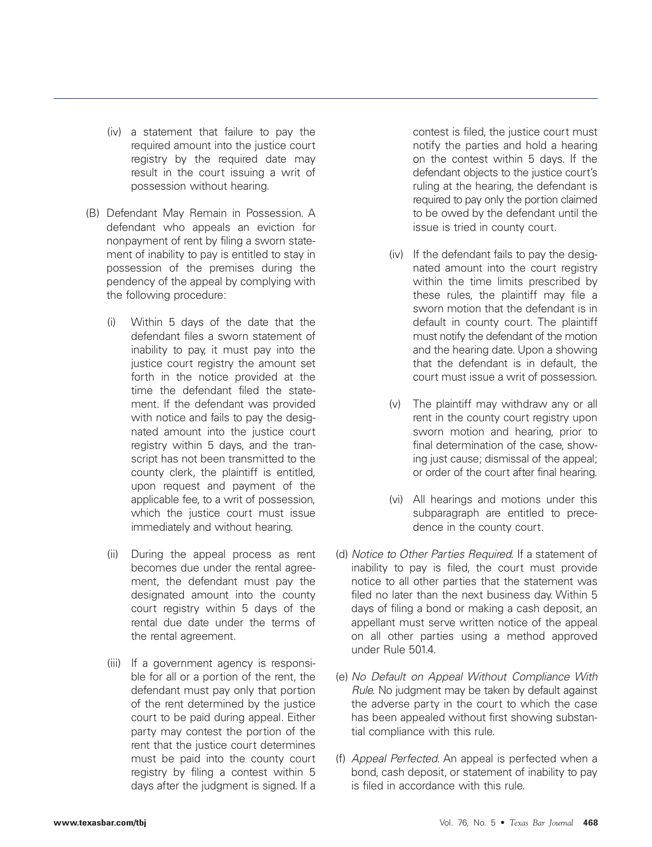- (iv) a statement that failure to pay the required amount into the justice court registry by the required date may result in the court issuing a writ of possession without hearing.
- (B) Defendant May Remain in Possession. A defendant who appeals an eviction for nonpayment of rent by filing a sworn statement of inability to pay is entitled to stay in possession of the premises during the pendency of the appeal by complying with the following procedure:
	- (i) Within 5 days of the date that the defendant files a sworn statement of inability to pay, it must pay into the justice court registry the amount set forth in the notice provided at the time the defendant filed the statement. If the defendant was provided with notice and fails to pay the designated amount into the justice court registry within 5 days, and the transcript has not been transmitted to the county clerk, the plaintiff is entitled, upon request and payment of the applicable fee, to a writ of possession, which the justice court must issue immediately and without hearing.
	- (ii) During the appeal process as rent becomes due under the rental agreement, the defendant must pay the designated amount into the county court registry within 5 days of the rental due date under the terms of the rental agreement.
	- (iii) If a government agency is responsible for all or a portion of the rent, the defendant must pay only that portion of the rent determined by the justice court to be paid during appeal. Either party may contest the portion of the rent that the justice court determines must be paid into the county court registry by filing a contest within 5 days after the judgment is signed. If a

contest is filed, the justice court must notify the parties and hold a hearing on the contest within 5 days. If the defendant objects to the justice court's ruling at the hearing, the defendant is required to pay only the portion claimed to be owed by the defendant until the issue is tried in county court.

- (iv) If the defendant fails to pay the designated amount into the court registry within the time limits prescribed by these rules, the plaintiff may file a sworn motion that the defendant is in default in county court. The plaintiff must notify the defendant of the motion and the hearing date. Upon a showing that the defendant is in default, the court must issue a writ of possession.
- (v) The plaintiff may withdraw any or all rent in the county court registry upon sworn motion and hearing, prior to final determination of the case, showing just cause; dismissal of the appeal; or order of the court after final hearing.
- (vi) All hearings and motions under this subparagraph are entitled to precedence in the county court.
- (d) Notice to Other Parties Required. If a statement of inability to pay is filed, the court must provide notice to all other parties that the statement was filed no later than the next business day. Within 5 days of filing a bond or making a cash deposit, an appellant must serve written notice of the appeal on all other parties using a method approved under Rule 501.4.
- (e) No Default on Appeal Without Compliance With Rule. No judgment may be taken by default against the adverse party in the court to which the case has been appealed without first showing substantial compliance with this rule.
- (f) Appeal Perfected. An appeal is perfected when a bond, cash deposit, or statement of inability to pay is filed in accordance with this rule.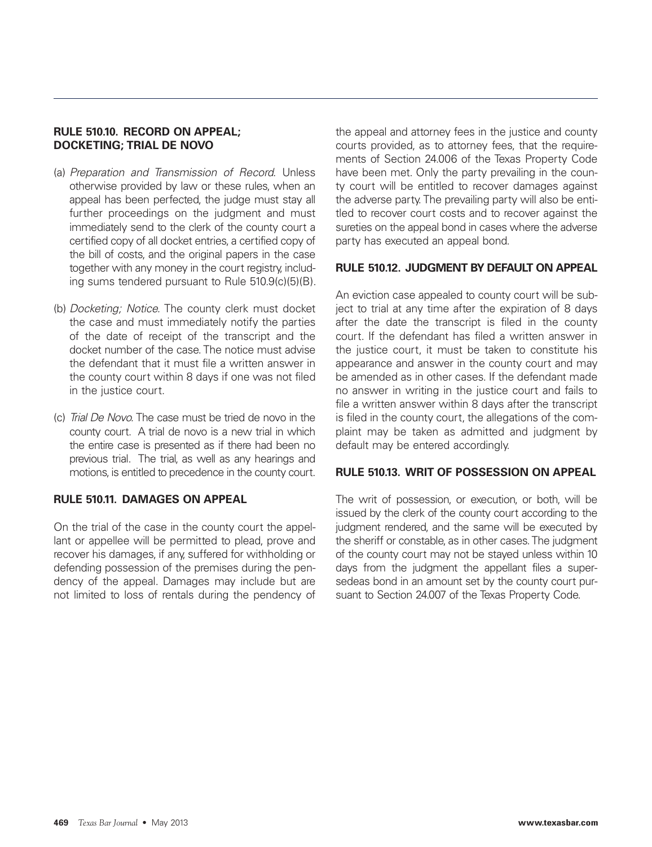# **RULE 510.10. RECORD ON APPEAL; DOCKETING; TRIAL DE NOVO**

- (a) Preparation and Transmission of Record. Unless otherwise provided by law or these rules, when an appeal has been perfected, the judge must stay all further proceedings on the judgment and must immediately send to the clerk of the county court a certified copy of all docket entries, a certified copy of the bill of costs, and the original papers in the case together with any money in the court registry, including sums tendered pursuant to Rule 510.9(c)(5)(B).
- (b) Docketing; Notice. The county clerk must docket the case and must immediately notify the parties of the date of receipt of the transcript and the docket number of the case. The notice must advise the defendant that it must file a written answer in the county court within 8 days if one was not filed in the justice court.
- (c) Trial De Novo. The case must be tried de novo in the county court. A trial de novo is a new trial in which the entire case is presented as if there had been no previous trial. The trial, as well as any hearings and motions, is entitled to precedence in the county court.

## **RULE 510.11. DAMAGES ON APPEAL**

On the trial of the case in the county court the appellant or appellee will be permitted to plead, prove and recover his damages, if any, suffered for withholding or defending possession of the premises during the pendency of the appeal. Damages may include but are not limited to loss of rentals during the pendency of the appeal and attorney fees in the justice and county courts provided, as to attorney fees, that the requirements of Section 24.006 of the Texas Property Code have been met. Only the party prevailing in the county court will be entitled to recover damages against the adverse party. The prevailing party will also be entitled to recover court costs and to recover against the sureties on the appeal bond in cases where the adverse party has executed an appeal bond.

## **RULE 510.12. JUDGMENT BY DEFAULT ON APPEAL**

An eviction case appealed to county court will be subject to trial at any time after the expiration of 8 days after the date the transcript is filed in the county court. If the defendant has filed a written answer in the justice court, it must be taken to constitute his appearance and answer in the county court and may be amended as in other cases. If the defendant made no answer in writing in the justice court and fails to file a written answer within 8 days after the transcript is filed in the county court, the allegations of the complaint may be taken as admitted and judgment by default may be entered accordingly.

## **RULE 510.13. WRIT OF POSSESSION ON APPEAL**

The writ of possession, or execution, or both, will be issued by the clerk of the county court according to the judgment rendered, and the same will be executed by the sheriff or constable, as in other cases. The judgment of the county court may not be stayed unless within 10 days from the judgment the appellant files a supersedeas bond in an amount set by the county court pursuant to Section 24.007 of the Texas Property Code.